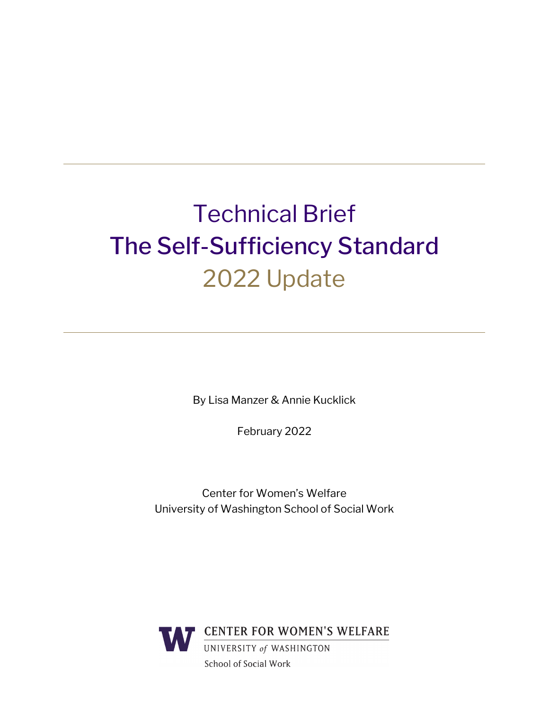# Technical Brief The Self-Sufficiency Standard 2022 Update

By Lisa Manzer & Annie Kucklick

February 2022

Center for Women's Welfare University of Washington School of Social Work

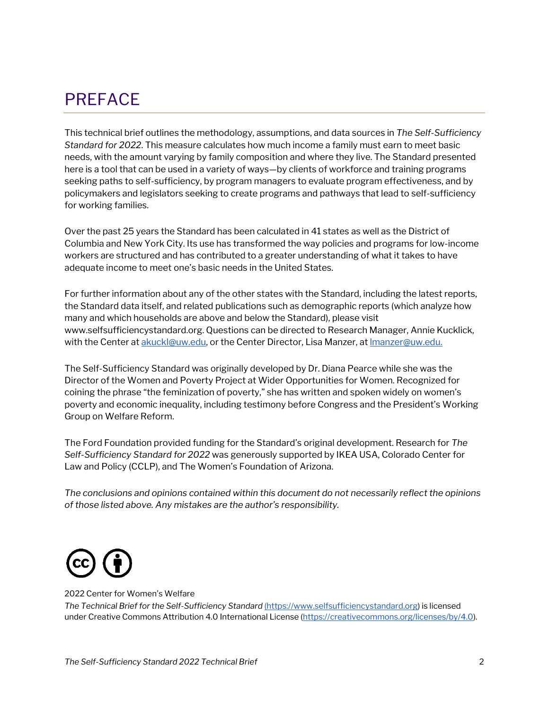### <span id="page-1-0"></span>PREFACE

This technical brief outlines the methodology, assumptions, and data sources in *The Self-Sufficiency Standard for 2022*. This measure calculates how much income a family must earn to meet basic needs, with the amount varying by family composition and where they live. The Standard presented here is a tool that can be used in a variety of ways—by clients of workforce and training programs seeking paths to self-sufficiency, by program managers to evaluate program effectiveness, and by policymakers and legislators seeking to create programs and pathways that lead to self-sufficiency for working families.

Over the past 25 years the Standard has been calculated in 41 states as well as the District of Columbia and New York City. Its use has transformed the way policies and programs for low-income workers are structured and has contributed to a greater understanding of what it takes to have adequate income to meet one's basic needs in the United States.

For further information about any of the other states with the Standard, including the latest reports, the Standard data itself, and related publications such as demographic reports (which analyze how many and which households are above and below the Standard), please visit [www.selfsufficiencystandard.org.](http://www.selfsufficiencystandard.org/) Questions can be directed to Research Manager, Annie Kucklick, with the Center at [akuckl@uw.edu,](mailto:akuckl@uw.edu) or the Center Director, Lisa Manzer, at <u>Imanzer@uw.edu.</u>

The Self-Sufficiency Standard was originally developed by Dr. Diana Pearce while she was the Director of the Women and Poverty Project at Wider Opportunities for Women. Recognized for coining the phrase "the feminization of poverty," she has written and spoken widely on women's poverty and economic inequality, including testimony before Congress and the President's Working Group on Welfare Reform.

The Ford Foundation provided funding for the Standard's original development. Research for *The Self-Sufficiency Standard for 2022* was generously supported by IKEA USA, Colorado Center for Law and Policy (CCLP), and The Women's Foundation of Arizona.

*The conclusions and opinions contained within this document do not necessarily reflect the opinions of those listed above. Any mistakes are the author's responsibility.*



#### 2022 Center for Women's Welfare

*The Technical Brief for the Self-Sufficiency Standard* [\(https://www.selfsufficiencystandard.org\)](https://www.selfsufficiencystandard.org/) is licensed under Creative Commons Attribution 4.0 International License [\(https://creativecommons.org/licenses/by/4.0\)](https://creativecommons.org/licenses/by/4.0).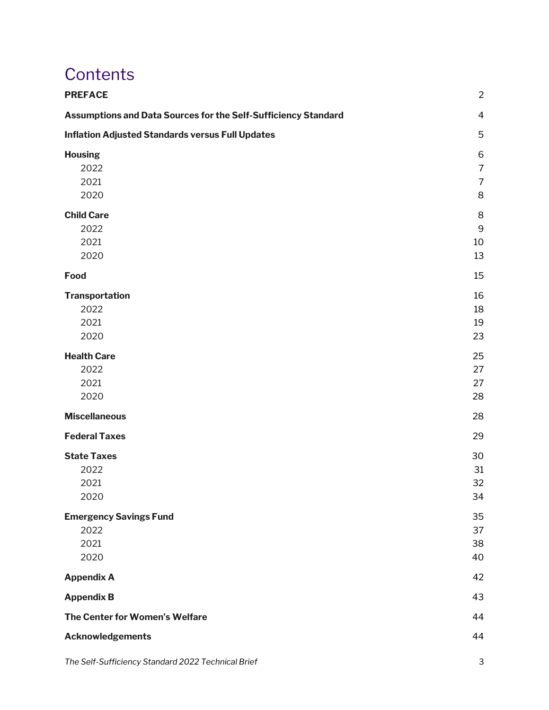### **Contents**

| <b>PREFACE</b>                                                 | $\overline{2}$                                        |
|----------------------------------------------------------------|-------------------------------------------------------|
| Assumptions and Data Sources for the Self-Sufficiency Standard | $\overline{4}$                                        |
| <b>Inflation Adjusted Standards versus Full Updates</b>        | 5                                                     |
| <b>Housing</b><br>2022<br>2021<br>2020                         | $\,$ 6<br>$\overline{7}$<br>$\overline{7}$<br>$\,8\,$ |
| <b>Child Care</b><br>2022<br>2021<br>2020                      | 8<br>$9\,$<br>10<br>13                                |
| Food                                                           | 15                                                    |
| <b>Transportation</b><br>2022<br>2021<br>2020                  | 16<br>18<br>19<br>23                                  |
| <b>Health Care</b><br>2022<br>2021<br>2020                     | 25<br>27<br>27<br>28                                  |
| <b>Miscellaneous</b>                                           | 28                                                    |
| <b>Federal Taxes</b>                                           | 29                                                    |
| <b>State Taxes</b><br>2022<br>2021<br>2020                     | 30<br>31<br>32<br>34                                  |
| <b>Emergency Savings Fund</b><br>2022<br>2021<br>2020          | 35<br>37<br>38<br>40                                  |
| <b>Appendix A</b>                                              | 42                                                    |
| <b>Appendix B</b>                                              | 43                                                    |
| The Center for Women's Welfare                                 | 44                                                    |
| <b>Acknowledgements</b>                                        | 44                                                    |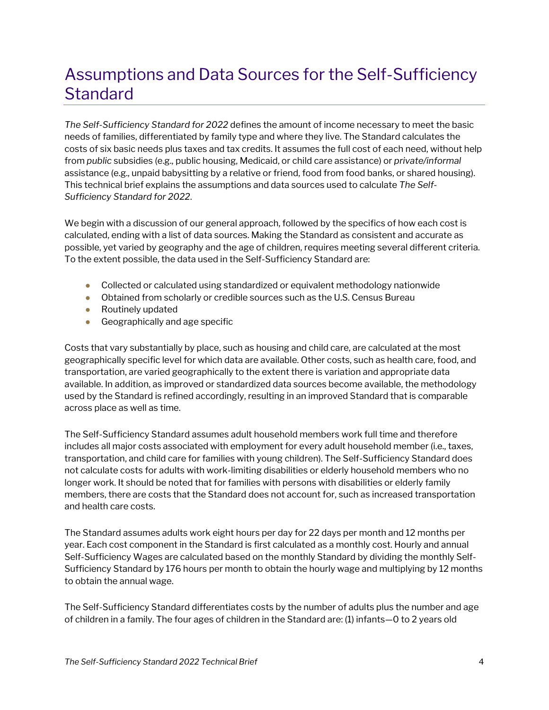### <span id="page-3-0"></span>Assumptions and Data Sources for the Self-Sufficiency **Standard**

*The Self-Sufficiency Standard for 2022* defines the amount of income necessary to meet the basic needs of families, differentiated by family type and where they live. The Standard calculates the costs of six basic needs plus taxes and tax credits. It assumes the full cost of each need, without help from *public* subsidies (e.g., public housing, Medicaid, or child care assistance) or *private/informal*  assistance (e.g., unpaid babysitting by a relative or friend, food from food banks, or shared housing). This technical brief explains the assumptions and data sources used to calculate *The Self-Sufficiency Standard for 2022*.

We begin with a discussion of our general approach, followed by the specifics of how each cost is calculated, ending with a list of data sources. Making the Standard as consistent and accurate as possible, yet varied by geography and the age of children, requires meeting several different criteria. To the extent possible, the data used in the Self-Sufficiency Standard are:

- Collected or calculated using standardized or equivalent methodology nationwide
- Obtained from scholarly or credible sources such as the U.S. Census Bureau
- Routinely updated
- $\bullet$  Geographically and age specific

Costs that vary substantially by place, such as housing and child care, are calculated at the most geographically specific level for which data are available. Other costs, such as health care, food, and transportation, are varied geographically to the extent there is variation and appropriate data available. In addition, as improved or standardized data sources become available, the methodology used by the Standard is refined accordingly, resulting in an improved Standard that is comparable across place as well as time.

The Self-Sufficiency Standard assumes adult household members work full time and therefore includes all major costs associated with employment for every adult household member (i.e., taxes, transportation, and child care for families with young children). The Self-Sufficiency Standard does not calculate costs for adults with work-limiting disabilities or elderly household members who no longer work. It should be noted that for families with persons with disabilities or elderly family members, there are costs that the Standard does not account for, such as increased transportation and health care costs.

The Standard assumes adults work eight hours per day for 22 days per month and 12 months per year. Each cost component in the Standard is first calculated as a monthly cost. Hourly and annual Self-Sufficiency Wages are calculated based on the monthly Standard by dividing the monthly Self-Sufficiency Standard by 176 hours per month to obtain the hourly wage and multiplying by 12 months to obtain the annual wage.

The Self-Sufficiency Standard differentiates costs by the number of adults plus the number and age of children in a family. The four ages of children in the Standard are: (1) infants—0 to 2 years old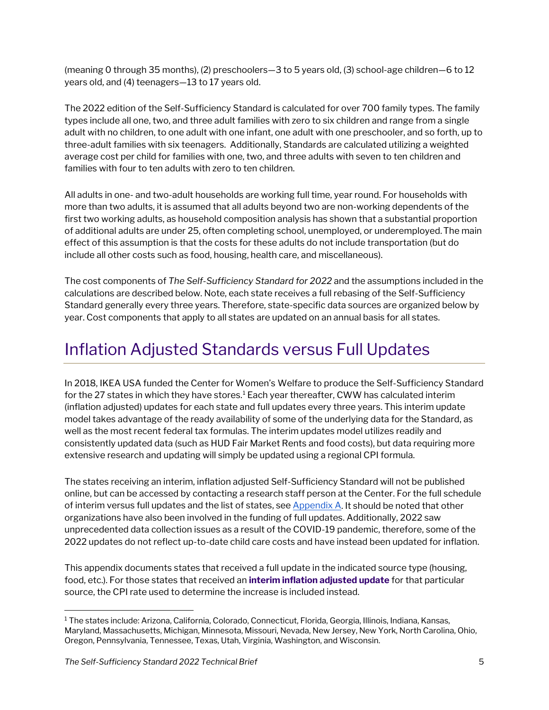(meaning 0 through 35 months), (2) preschoolers—3 to 5 years old, (3) school-age children—6 to 12 years old, and (4) teenagers—13 to 17 years old.

The 2022 edition of the Self-Sufficiency Standard is calculated for over 700 family types. The family types include all one, two, and three adult families with zero to six children and range from a single adult with no children, to one adult with one infant, one adult with one preschooler, and so forth, up to three-adult families with six teenagers. Additionally, Standards are calculated utilizing a weighted average cost per child for families with one, two, and three adults with seven to ten children and families with four to ten adults with zero to ten children.

All adults in one- and two-adult households are working full time, year round. For households with more than two adults, it is assumed that all adults beyond two are non-working dependents of the first two working adults, as household composition analysis has shown that a substantial proportion of additional adults are under 25, often completing school, unemployed, or underemployed.The main effect of this assumption is that the costs for these adults do not include transportation (but do include all other costs such as food, housing, health care, and miscellaneous).

The cost components of *The Self-Sufficiency Standard for 2022* and the assumptions included in the calculations are described below. Note, each state receives a full rebasing of the Self-Sufficiency Standard generally every three years. Therefore, state-specific data sources are organized below by year. Cost components that apply to all states are updated on an annual basis for all states.

### <span id="page-4-0"></span>Inflation Adjusted Standards versus Full Updates

In 2018, IKEA USA funded the Center for Women's Welfare to produce the Self-Sufficiency Standard for the 27 states in which they have stores.<sup>[1](#page-4-1)</sup> Each year thereafter, CWW has calculated interim (inflation adjusted) updates for each state and full updates every three years. This interim update model takes advantage of the ready availability of some of the underlying data for the Standard, as well as the most recent federal tax formulas. The interim updates model utilizes readily and consistently updated data (such as HUD Fair Market Rents and food costs), but data requiring more extensive research and updating will simply be updated using a regional CPI formula.

The states receiving an interim, inflation adjusted Self-Sufficiency Standard will not be published online, but can be accessed by contacting a research staff person at the Center. For the full schedule of interim versus full updates and the list of states, se[e Appendix A.](#page-41-0) It should be noted that other organizations have also been involved in the funding of full updates. Additionally, 2022 saw unprecedented data collection issues as a result of the COVID-19 pandemic, therefore, some of the 2022 updates do not reflect up-to-date child care costs and have instead been updated for inflation.

This appendix documents states that received a full update in the indicated source type (housing, food, etc.). For those states that received an **interim inflation adjusted update** for that particular source, the CPI rate used to determine the increase is included instead.

<span id="page-4-1"></span><sup>1</sup> The states include: Arizona, California, Colorado, Connecticut, Florida, Georgia, Illinois, Indiana, Kansas, Maryland, Massachusetts, Michigan, Minnesota, Missouri, Nevada, New Jersey, New York, North Carolina, Ohio, Oregon, Pennsylvania, Tennessee, Texas, Utah, Virginia, Washington, and Wisconsin.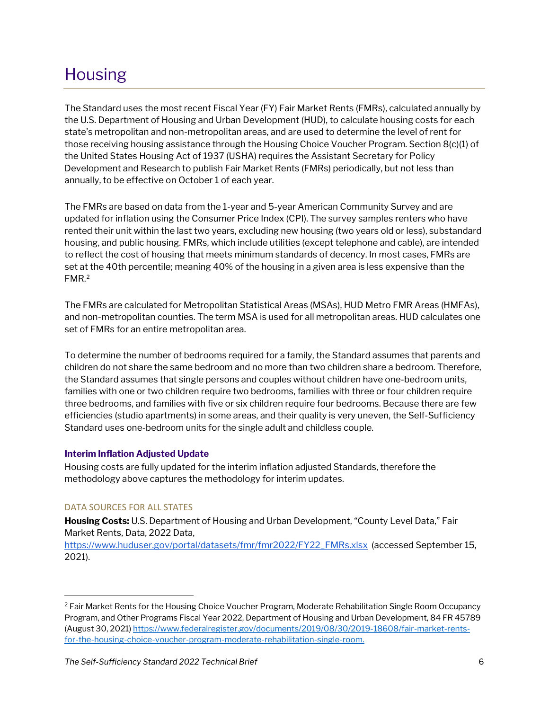### <span id="page-5-0"></span>Housing

The Standard uses the most recent Fiscal Year (FY) Fair Market Rents (FMRs), calculated annually by the U.S. Department of Housing and Urban Development (HUD), to calculate housing costs for each state's metropolitan and non-metropolitan areas, and are used to determine the level of rent for those receiving housing assistance through the Housing Choice Voucher Program. Section 8(c)(1) of the United States Housing Act of 1937 (USHA) requires the Assistant Secretary for Policy Development and Research to publish Fair Market Rents (FMRs) periodically, but not less than annually, to be effective on October 1 of each year.

The FMRs are based on data from the 1-year and 5-year American Community Survey and are updated for inflation using the Consumer Price Index (CPI). The survey samples renters who have rented their unit within the last two years, excluding new housing (two years old or less), substandard housing, and public housing. FMRs, which include utilities (except telephone and cable), are intended to reflect the cost of housing that meets minimum standards of decency. In most cases, FMRs are set at the 40th percentile; meaning 40% of the housing in a given area is less expensive than the FMR.[2](#page-5-1)

The FMRs are calculated for Metropolitan Statistical Areas (MSAs), HUD Metro FMR Areas (HMFAs), and non-metropolitan counties. The term MSA is used for all metropolitan areas. HUD calculates one set of FMRs for an entire metropolitan area.

To determine the number of bedrooms required for a family, the Standard assumes that parents and children do not share the same bedroom and no more than two children share a bedroom. Therefore, the Standard assumes that single persons and couples without children have one-bedroom units, families with one or two children require two bedrooms, families with three or four children require three bedrooms, and families with five or six children require four bedrooms. Because there are few efficiencies (studio apartments) in some areas, and their quality is very uneven, the Self-Sufficiency Standard uses one-bedroom units for the single adult and childless couple.

#### **Interim Inflation Adjusted Update**

Housing costs are fully updated for the interim inflation adjusted Standards, therefore the methodology above captures the methodology for interim updates.

#### DATA SOURCES FOR ALL STATES

**Housing Costs:** U.S. Department of Housing and Urban Development, "County Level Data," Fair Market Rents, Data, 2022 Data,

[https://www.huduser.gov/portal/datasets/fmr/fmr2022/FY22\\_FMRs.xlsx](https://www.huduser.gov/portal/datasets/fmr/fmr2022/FY22_FMRs.xlsx) (accessed September 15, 2021).

<span id="page-5-1"></span><sup>&</sup>lt;sup>2</sup> Fair Market Rents for the Housing Choice Voucher Program, Moderate Rehabilitation Single Room Occupancy Program, and Other Programs Fiscal Year 2022, Department of Housing and Urban Development, 84 FR 45789 (August 30, 2021[\) https://www.federalregister.gov/documents/2019/08/30/2019-18608/fair-market-rents](https://www.federalregister.gov/documents/2019/08/30/2019-18608/fair-market-rents-for-the-housing-choice-voucher-program-moderate-rehabilitation-single-room)[for-the-housing-choice-voucher-program-moderate-rehabilitation-single-room.](https://www.federalregister.gov/documents/2019/08/30/2019-18608/fair-market-rents-for-the-housing-choice-voucher-program-moderate-rehabilitation-single-room)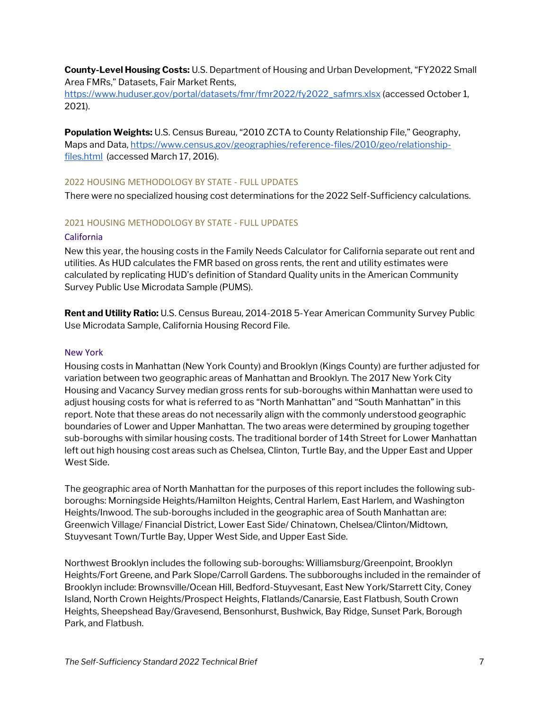**County-Level Housing Costs:** U.S. Department of Housing and Urban Development, "FY2022 Small Area FMRs," Datasets, Fair Market Rents,

[https://www.huduser.gov/portal/datasets/fmr/fmr2022/fy2022\\_safmrs.xlsx](https://www.huduser.gov/portal/datasets/fmr/fmr2022/fy2022_safmrs.xlsx) (accessed October 1, 2021).

**Population Weights:** U.S. Census Bureau, "2010 ZCTA to County Relationship File," Geography, Maps and Data[, https://www.census.gov/geographies/reference-files/2010/geo/relationship](https://www.census.gov/geographies/reference-files/2010/geo/relationship-files.html)[files.html](https://www.census.gov/geographies/reference-files/2010/geo/relationship-files.html) (accessed March 17, 2016).

#### <span id="page-6-0"></span>2022 HOUSING METHODOLOGY BY STATE - FULL UPDATES

There were no specialized housing cost determinations for the 2022 Self-Sufficiency calculations.

#### <span id="page-6-1"></span>2021 HOUSING METHODOLOGY BY STATE - FULL UPDATES

#### California

New this year, the housing costs in the Family Needs Calculator for California separate out rent and utilities. As HUD calculates the FMR based on gross rents, the rent and utility estimates were calculated by replicating HUD's definition of Standard Quality units in the American Community Survey Public Use Microdata Sample (PUMS).

**Rent and Utility Ratio:** U.S. Census Bureau, 2014-2018 5-Year American Community Survey Public Use Microdata Sample, California Housing Record File.

#### New York

Housing costs in Manhattan (New York County) and Brooklyn (Kings County) are further adjusted for variation between two geographic areas of Manhattan and Brooklyn. The 2017 New York City Housing and Vacancy Survey median gross rents for sub-boroughs within Manhattan were used to adjust housing costs for what is referred to as "North Manhattan" and "South Manhattan" in this report. Note that these areas do not necessarily align with the commonly understood geographic boundaries of Lower and Upper Manhattan. The two areas were determined by grouping together sub-boroughs with similar housing costs. The traditional border of 14th Street for Lower Manhattan left out high housing cost areas such as Chelsea, Clinton, Turtle Bay, and the Upper East and Upper West Side.

The geographic area of North Manhattan for the purposes of this report includes the following subboroughs: Morningside Heights/Hamilton Heights, Central Harlem, East Harlem, and Washington Heights/Inwood. The sub-boroughs included in the geographic area of South Manhattan are: Greenwich Village/ Financial District, Lower East Side/ Chinatown, Chelsea/Clinton/Midtown, Stuyvesant Town/Turtle Bay, Upper West Side, and Upper East Side.

Northwest Brooklyn includes the following sub-boroughs: Williamsburg/Greenpoint, Brooklyn Heights/Fort Greene, and Park Slope/Carroll Gardens. The subboroughs included in the remainder of Brooklyn include: Brownsville/Ocean Hill, Bedford-Stuyvesant, East New York/Starrett City, Coney Island, North Crown Heights/Prospect Heights, Flatlands/Canarsie, East Flatbush, South Crown Heights, Sheepshead Bay/Gravesend, Bensonhurst, Bushwick, Bay Ridge, Sunset Park, Borough Park, and Flatbush.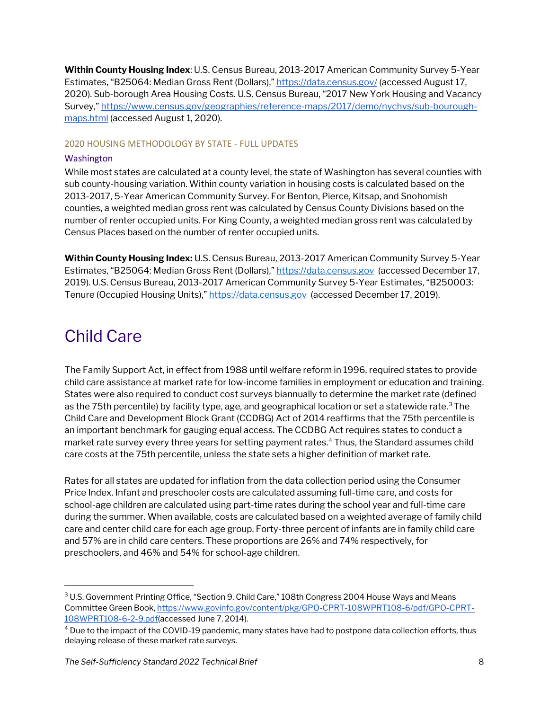**Within County Housing Index**: U.S. Census Bureau, 2013-2017 American Community Survey 5-Year Estimates, "B25064: Median Gross Rent (Dollars),[" https://data.census.gov/](https://data.census.gov/) (accessed August 17, 2020). Sub-borough Area Housing Costs. U.S. Census Bureau, "2017 New York Housing and Vacancy Survey," [https://www.census.gov/geographies/reference-maps/2017/demo/nychvs/sub-bourough](https://www.census.gov/geographies/reference-maps/2017/demo/nychvs/sub-bourough-maps.html)[maps.html](https://www.census.gov/geographies/reference-maps/2017/demo/nychvs/sub-bourough-maps.html) (accessed August 1, 2020).

#### <span id="page-7-0"></span>2020 HOUSING METHODOLOGY BY STATE - FULL UPDATES

#### Washington

While most states are calculated at a county level, the state of Washington has several counties with sub county-housing variation. Within county variation in housing costs is calculated based on the 2013-2017, 5-Year American Community Survey. For Benton, Pierce, Kitsap, and Snohomish counties, a weighted median gross rent was calculated by Census County Divisions based on the number of renter occupied units. For King County, a weighted median gross rent was calculated by Census Places based on the number of renter occupied units.

**Within County Housing Index:** U.S. Census Bureau, 2013-2017 American Community Survey 5-Year Estimates, "B25064: Median Gross Rent (Dollars),[" https://data.census.gov](https://data.census.gov/) (accessed December 17, 2019). U.S. Census Bureau, 2013-2017 American Community Survey 5-Year Estimates, "B250003: Tenure (Occupied Housing Units),[" https://data.census.gov](https://data.census.gov/) (accessed December 17, 2019).

### <span id="page-7-1"></span>Child Care

The Family Support Act, in effect from 1988 until welfare reform in 1996, required states to provide child care assistance at market rate for low-income families in employment or education and training. States were also required to conduct cost surveys biannually to determine the market rate (defined as the 75th percentile) by facility type, age, and geographical location or set a statewide rate.<sup>[3](#page-7-2)</sup> The Child Care and Development Block Grant (CCDBG) Act of 2014 reaffirms that the 75th percentile is an important benchmark for gauging equal access. The CCDBG Act requires states to conduct a market rate survey every three years for setting payment rates.[4](#page-7-3) Thus, the Standard assumes child care costs at the 75th percentile, unless the state sets a higher definition of market rate.

Rates for all states are updated for inflation from the data collection period using the Consumer Price Index. Infant and preschooler costs are calculated assuming full-time care, and costs for school-age children are calculated using part-time rates during the school year and full-time care during the summer. When available, costs are calculated based on a weighted average of family child care and center child care for each age group. Forty-three percent of infants are in family child care and 57% are in child care centers. These proportions are 26% and 74% respectively, for preschoolers, and 46% and 54% for school-age children.

<span id="page-7-2"></span><sup>&</sup>lt;sup>3</sup> U.S. Government Printing Office, "Section 9. Child Care," 108th Congress 2004 House Ways and Means Committee Green Book[, https://www.govinfo.gov/content/pkg/GPO-CPRT-108WPRT108-6/pdf/GPO-CPRT-](https://www.govinfo.gov/content/pkg/GPO-CPRT-108WPRT108-6/pdf/GPO-CPRT-108WPRT108-6-2-9.pdf)[108WPRT108-6-2-9.pdf\(](https://www.govinfo.gov/content/pkg/GPO-CPRT-108WPRT108-6/pdf/GPO-CPRT-108WPRT108-6-2-9.pdf)accessed June 7, 2014).

<span id="page-7-3"></span><sup>4</sup> Due to the impact of the COVID-19 pandemic, many states have had to postpone data collection efforts, thus delaying release of these market rate surveys.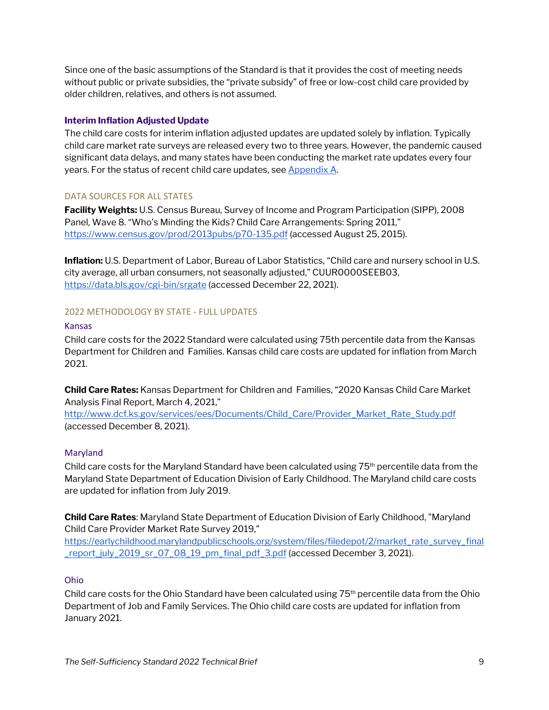Since one of the basic assumptions of the Standard is that it provides the cost of meeting needs without public or private subsidies, the "private subsidy" of free or low-cost child care provided by older children, relatives, and others is not assumed.

#### **Interim Inflation Adjusted Update**

The child care costs for interim inflation adjusted updates are updated solely by inflation. Typically child care market rate surveys are released every two to three years. However, the pandemic caused significant data delays, and many states have been conducting the market rate updates every four years. For the status of recent child care updates, see Appendix A.

#### DATA SOURCES FOR ALL STATES

**Facility Weights:** U.S. Census Bureau, Survey of Income and Program Participation (SIPP), 2008 Panel, Wave 8. "Who's Minding the Kids? Child Care Arrangements: Spring 2011," <https://www.census.gov/prod/2013pubs/p70-135.pdf> (accessed August 25, 2015).

**Inflation:** U.S. Department of Labor, Bureau of Labor Statistics, "Child care and nursery school in U.S. city average, all urban consumers, not seasonally adjusted," CUUR0000SEEB03, <https://data.bls.gov/cgi-bin/srgate> (accessed December 22, 2021).

#### <span id="page-8-0"></span>2022 METHODOLOGY BY STATE - FULL UPDATES

#### Kansas

Child care costs for the 2022 Standard were calculated using 75th percentile data from the Kansas Department for Children and Families. Kansas child care costs are updated for inflation from March 2021.

**Child Care Rates:** Kansas Department for Children and Families, "2020 Kansas Child Care Market Analysis Final Report, March 4, 2021,"

[http://www.dcf.ks.gov/services/ees/Documents/Child\\_Care/Provider\\_Market\\_Rate\\_Study.pdf](http://www.dcf.ks.gov/services/ees/Documents/Child_Care/Provider_Market_Rate_Study.pdf)  (accessed December 8, 2021).

#### Maryland

Child care costs for the Maryland Standard have been calculated using  $75<sup>th</sup>$  percentile data from the Maryland State Department of Education Division of Early Childhood. The Maryland child care costs are updated for inflation from July 2019.

**Child Care Rates**: Maryland State Department of Education Division of Early Childhood, "Maryland Child Care Provider Market Rate Survey 2019,"

[https://earlychildhood.marylandpublicschools.org/system/files/filedepot/2/market\\_rate\\_survey\\_final](https://earlychildhood.marylandpublicschools.org/system/files/filedepot/2/market_rate_survey_final_report_july_2019_sr_07_08_19_pm_final_pdf_3.pdf) [\\_report\\_july\\_2019\\_sr\\_07\\_08\\_19\\_pm\\_final\\_pdf\\_3.pdf](https://earlychildhood.marylandpublicschools.org/system/files/filedepot/2/market_rate_survey_final_report_july_2019_sr_07_08_19_pm_final_pdf_3.pdf) (accessed December 3, 2021).

#### Ohio

Child care costs for the Ohio Standard have been calculated using  $75<sup>th</sup>$  percentile data from the Ohio Department of Job and Family Services. The Ohio child care costs are updated for inflation from January 2021.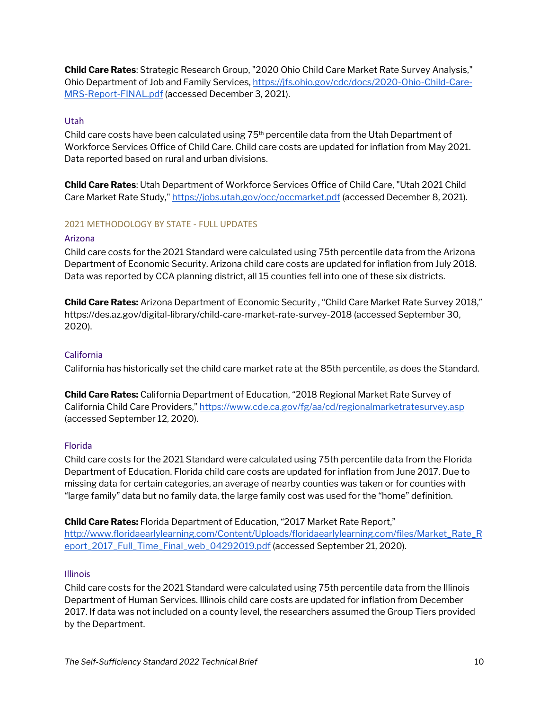**Child Care Rates**: Strategic Research Group, "2020 Ohio Child Care Market Rate Survey Analysis," Ohio Department of Job and Family Services, [https://jfs.ohio.gov/cdc/docs/2020-Ohio-Child-Care-](https://jfs.ohio.gov/cdc/docs/2020-Ohio-Child-Care-MRS-Report-FINAL.pdf)[MRS-Report-FINAL.pdf](https://jfs.ohio.gov/cdc/docs/2020-Ohio-Child-Care-MRS-Report-FINAL.pdf) (accessed December 3, 2021).

### Utah

Child care costs have been calculated using 75th percentile data from the Utah Department of Workforce Services Office of Child Care. Child care costs are updated for inflation from May 2021. Data reported based on rural and urban divisions.

**Child Care Rates**: Utah Department of Workforce Services Office of Child Care, "Utah 2021 Child Care Market Rate Study,"<https://jobs.utah.gov/occ/occmarket.pdf> (accessed December 8, 2021).

#### <span id="page-9-0"></span>2021 METHODOLOGY BY STATE - FULL UPDATES

#### Arizona

Child care costs for the 2021 Standard were calculated using 75th percentile data from the Arizona Department of Economic Security. Arizona child care costs are updated for inflation from July 2018. Data was reported by CCA planning district, all 15 counties fell into one of these six districts.

**Child Care Rates:** Arizona Department of Economic Security , "Child Care Market Rate Survey 2018," https://des.az.gov/digital-library/child-care-market-rate-survey-2018 (accessed September 30, 2020).

#### California

California has historically set the child care market rate at the 85th percentile, as does the Standard.

**Child Care Rates:** California Department of Education, "2018 Regional Market Rate Survey of California Child Care Providers,[" https://www.cde.ca.gov/fg/aa/cd/regionalmarketratesurvey.asp](https://www.cde.ca.gov/fg/aa/cd/regionalmarketratesurvey.asp) (accessed September 12, 2020).

#### Florida

Child care costs for the 2021 Standard were calculated using 75th percentile data from the Florida Department of Education. Florida child care costs are updated for inflation from June 2017. Due to missing data for certain categories, an average of nearby counties was taken or for counties with "large family" data but no family data, the large family cost was used for the "home" definition.

**Child Care Rates:** Florida Department of Education, "2017 Market Rate Report," [http://www.floridaearlylearning.com/Content/Uploads/floridaearlylearning.com/files/Market\\_Rate\\_R](http://www.floridaearlylearning.com/Content/Uploads/floridaearlylearning.com/files/Market_Rate_Report_2017_Full_Time_Final_web_04292019.pdf) [eport\\_2017\\_Full\\_Time\\_Final\\_web\\_04292019.pdf](http://www.floridaearlylearning.com/Content/Uploads/floridaearlylearning.com/files/Market_Rate_Report_2017_Full_Time_Final_web_04292019.pdf) (accessed September 21, 2020).

#### Illinois

Child care costs for the 2021 Standard were calculated using 75th percentile data from the Illinois Department of Human Services. Illinois child care costs are updated for inflation from December 2017. If data was not included on a county level, the researchers assumed the Group Tiers provided by the Department.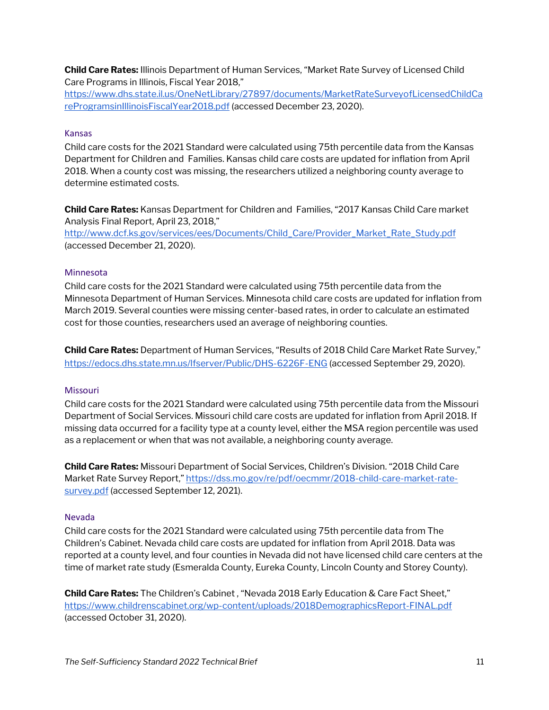**Child Care Rates:** Illinois Department of Human Services, "Market Rate Survey of Licensed Child Care Programs in Illinois, Fiscal Year 2018,"

[https://www.dhs.state.il.us/OneNetLibrary/27897/documents/MarketRateSurveyofLicensedChildCa](https://www.dhs.state.il.us/OneNetLibrary/27897/documents/MarketRateSurveyofLicensedChildCareProgramsinIllinoisFiscalYear2018.pdf) [reProgramsinIllinoisFiscalYear2018.pdf](https://www.dhs.state.il.us/OneNetLibrary/27897/documents/MarketRateSurveyofLicensedChildCareProgramsinIllinoisFiscalYear2018.pdf) (accessed December 23, 2020).

#### Kansas

Child care costs for the 2021 Standard were calculated using 75th percentile data from the Kansas Department for Children and Families. Kansas child care costs are updated for inflation from April 2018. When a county cost was missing, the researchers utilized a neighboring county average to determine estimated costs.

**Child Care Rates:** Kansas Department for Children and Families, "2017 Kansas Child Care market Analysis Final Report, April 23, 2018,"

[http://www.dcf.ks.gov/services/ees/Documents/Child\\_Care/Provider\\_Market\\_Rate\\_Study.pdf](http://www.dcf.ks.gov/services/ees/Documents/Child_Care/Provider_Market_Rate_Study.pdf) (accessed December 21, 2020).

#### Minnesota

Child care costs for the 2021 Standard were calculated using 75th percentile data from the Minnesota Department of Human Services. Minnesota child care costs are updated for inflation from March 2019. Several counties were missing center-based rates, in order to calculate an estimated cost for those counties, researchers used an average of neighboring counties.

**Child Care Rates:** Department of Human Services, "Results of 2018 Child Care Market Rate Survey," <https://edocs.dhs.state.mn.us/lfserver/Public/DHS-6226F-ENG> (accessed September 29, 2020).

#### Missouri

Child care costs for the 2021 Standard were calculated using 75th percentile data from the Missouri Department of Social Services. Missouri child care costs are updated for inflation from April 2018. If missing data occurred for a facility type at a county level, either the MSA region percentile was used as a replacement or when that was not available, a neighboring county average.

**Child Care Rates:** Missouri Department of Social Services, Children's Division. "2018 Child Care Market Rate Survey Report,[" https://dss.mo.gov/re/pdf/oecmmr/2018-child-care-market-rate](https://dss.mo.gov/re/pdf/oecmmr/2018-child-care-market-rate-survey.pdf)[survey.pdf](https://dss.mo.gov/re/pdf/oecmmr/2018-child-care-market-rate-survey.pdf) (accessed September 12, 2021).

#### Nevada

Child care costs for the 2021 Standard were calculated using 75th percentile data from The Children's Cabinet. Nevada child care costs are updated for inflation from April 2018. Data was reported at a county level, and four counties in Nevada did not have licensed child care centers at the time of market rate study (Esmeralda County, Eureka County, Lincoln County and Storey County).

**Child Care Rates:** The Children's Cabinet , "Nevada 2018 Early Education & Care Fact Sheet," <https://www.childrenscabinet.org/wp-content/uploads/2018DemographicsReport-FINAL.pdf> (accessed October 31, 2020).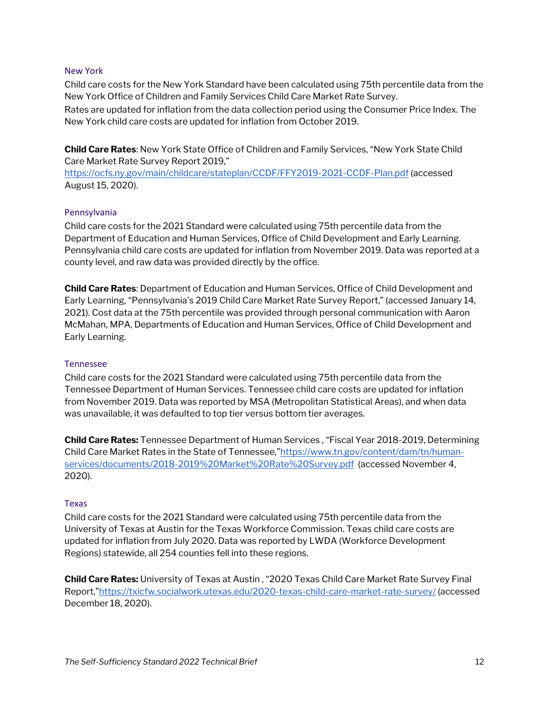#### New York

Child care costs for the New York Standard have been calculated using 75th percentile data from the New York Office of Children and Family Services Child Care Market Rate Survey.

Rates are updated for inflation from the data collection period using the Consumer Price Index. The New York child care costs are updated for inflation from October 2019.

**Child Care Rates**: New York State Office of Children and Family Services, "New York State Child Care Market Rate Survey Report 2019,"

<https://ocfs.ny.gov/main/childcare/stateplan/CCDF/FFY2019-2021-CCDF-Plan.pdf> (accessed August 15, 2020).

#### Pennsylvania

Child care costs for the 2021 Standard were calculated using 75th percentile data from the Department of Education and Human Services, Office of Child Development and Early Learning. Pennsylvania child care costs are updated for inflation from November 2019. Data was reported at a county level, and raw data was provided directly by the office.

**Child Care Rates**: Department of Education and Human Services, Office of Child Development and Early Learning, "Pennsylvania's 2019 Child Care Market Rate Survey Report," (accessed January 14, 2021). Cost data at the 75th percentile was provided through personal communication with Aaron McMahan, MPA, Departments of Education and Human Services, Office of Child Development and Early Learning.

#### Tennessee

Child care costs for the 2021 Standard were calculated using 75th percentile data from the Tennessee Department of Human Services. Tennessee child care costs are updated for inflation from November 2019. Data was reported by MSA (Metropolitan Statistical Areas), and when data was unavailable, it was defaulted to top tier versus bottom tier averages.

**Child Care Rates:** Tennessee Department of Human Services , "Fiscal Year 2018-2019, Determining Child Care Market Rates in the State of Tennessee,["https://www.tn.gov/content/dam/tn/human](https://www.tn.gov/content/dam/tn/human-services/documents/2018-2019%20Market%20Rate%20Survey.pdf)[services/documents/2018-2019%20Market%20Rate%20Survey.pdf](https://www.tn.gov/content/dam/tn/human-services/documents/2018-2019%20Market%20Rate%20Survey.pdf) (accessed November 4, 2020).

#### Texas

Child care costs for the 2021 Standard were calculated using 75th percentile data from the University of Texas at Austin for the Texas Workforce Commission. Texas child care costs are updated for inflation from July 2020. Data was reported by LWDA (Workforce Development Regions) statewide, all 254 counties fell into these regions.

**Child Care Rates:** University of Texas at Austin , "2020 Texas Child Care Market Rate Survey Final Report,["https://txicfw.socialwork.utexas.edu/2020-texas-child-care-market-rate-survey/](https://txicfw.socialwork.utexas.edu/2020-texas-child-care-market-rate-survey/) (accessed December 18, 2020).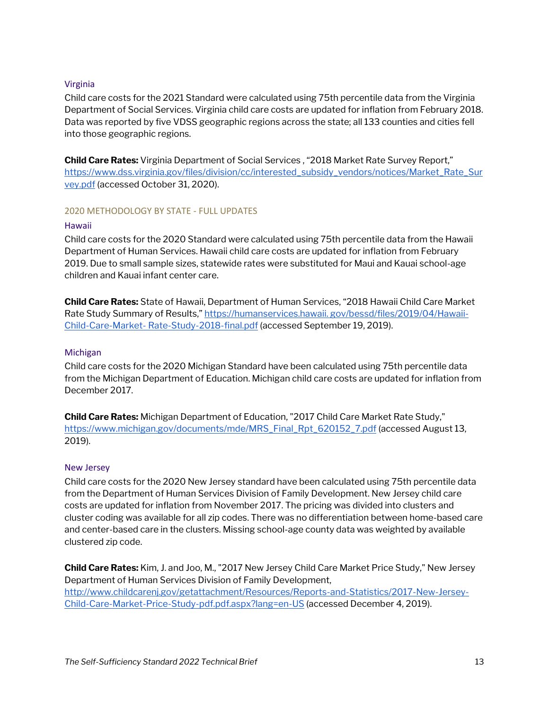#### Virginia

Child care costs for the 2021 Standard were calculated using 75th percentile data from the Virginia Department of Social Services. Virginia child care costs are updated for inflation from February 2018. Data was reported by five VDSS geographic regions across the state; all 133 counties and cities fell into those geographic regions.

**Child Care Rates:** Virginia Department of Social Services , "2018 Market Rate Survey Report," [https://www.dss.virginia.gov/files/division/cc/interested\\_subsidy\\_vendors/notices/Market\\_Rate\\_Sur](https://www.dss.virginia.gov/files/division/cc/interested_subsidy_vendors/notices/Market_Rate_Survey.pdf) [vey.pdf](https://www.dss.virginia.gov/files/division/cc/interested_subsidy_vendors/notices/Market_Rate_Survey.pdf) (accessed October 31, 2020).

#### <span id="page-12-0"></span>2020 METHODOLOGY BY STATE - FULL UPDATES

#### Hawaii

Child care costs for the 2020 Standard were calculated using 75th percentile data from the Hawaii Department of Human Services. Hawaii child care costs are updated for inflation from February 2019. Due to small sample sizes, statewide rates were substituted for Maui and Kauai school-age children and Kauai infant center care.

**Child Care Rates:** State of Hawaii, Department of Human Services, "2018 Hawaii Child Care Market Rate Study Summary of Results," [https://humanservices.hawaii. gov/bessd/files/2019/04/Hawaii-](https://humanservices.hawaii./)Child-Care-Market- [Rate-Study-2018-final.pdf](https://humanservices.hawaii./) (accessed September 19, 2019).

#### Michigan

Child care costs for the 2020 Michigan Standard have been calculated using 75th percentile data from the Michigan Department of Education. Michigan child care costs are updated for inflation from December 2017.

**Child Care Rates:** Michigan Department of Education, "2017 Child Care Market Rate Study," [https://www.michigan.gov/documents/mde/MRS\\_Final\\_Rpt\\_620152\\_7.pdf](https://www.michigan.gov/documents/mde/MRS_Final_Rpt_620152_7.pdf) (accessed August 13, 2019).

#### New Jersey

Child care costs for the 2020 New Jersey standard have been calculated using 75th percentile data from the Department of Human Services Division of Family Development. New Jersey child care costs are updated for inflation from November 2017. The pricing was divided into clusters and cluster coding was available for all zip codes. There was no differentiation between home-based care and center-based care in the clusters. Missing school-age county data was weighted by available clustered zip code.

**Child Care Rates:** Kim, J. and Joo, M., "2017 New Jersey Child Care Market Price Study," New Jersey Department of Human Services Division of Family Development, [http://www.childcarenj.gov/getattachment/Resources/Reports-and-Statistics/2017-New-Jersey-](http://www.childcarenj.gov/getattachment/Resources/Reports-and-Statistics/2017-New-Jersey-Child-Care-Market-Price-Study-pdf.pdf.aspx?lang=en-US)[Child-Care-Market-Price-Study-pdf.pdf.aspx?lang=en-US](http://www.childcarenj.gov/getattachment/Resources/Reports-and-Statistics/2017-New-Jersey-Child-Care-Market-Price-Study-pdf.pdf.aspx?lang=en-US) (accessed December 4, 2019).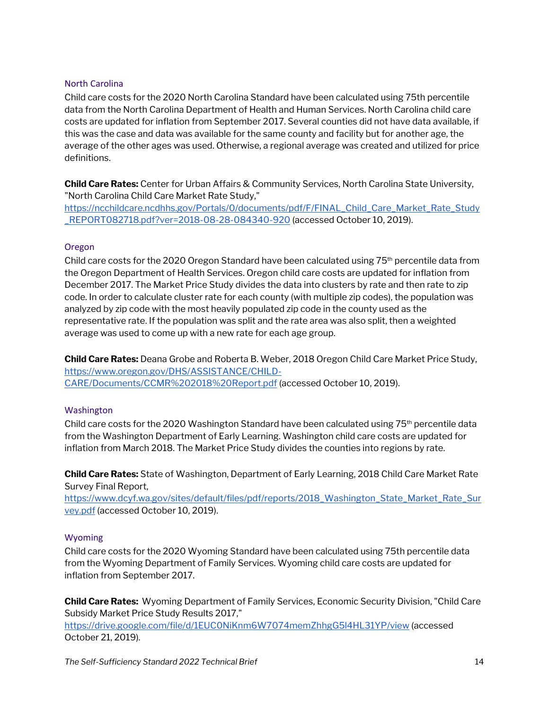#### North Carolina

Child care costs for the 2020 North Carolina Standard have been calculated using 75th percentile data from the North Carolina Department of Health and Human Services. North Carolina child care costs are updated for inflation from September 2017. Several counties did not have data available, if this was the case and data was available for the same county and facility but for another age, the average of the other ages was used. Otherwise, a regional average was created and utilized for price definitions.

**Child Care Rates:** Center for Urban Affairs & Community Services, North Carolina State University, "North Carolina Child Care Market Rate Study,"

[https://ncchildcare.ncdhhs.gov/Portals/0/documents/pdf/F/FINAL\\_Child\\_Care\\_Market\\_Rate\\_Study](https://ncchildcare.ncdhhs.gov/Portals/0/documents/pdf/F/FINAL_Child_Care_Market_Rate_Study_REPORT082718.pdf?ver=2018-08-28-084340-920) [\\_REPORT082718.pdf?ver=2018-08-28-084340-920](https://ncchildcare.ncdhhs.gov/Portals/0/documents/pdf/F/FINAL_Child_Care_Market_Rate_Study_REPORT082718.pdf?ver=2018-08-28-084340-920) (accessed October 10, 2019).

#### Oregon

Child care costs for the 2020 Oregon Standard have been calculated using 75<sup>th</sup> percentile data from the Oregon Department of Health Services. Oregon child care costs are updated for inflation from December 2017. The Market Price Study divides the data into clusters by rate and then rate to zip code. In order to calculate cluster rate for each county (with multiple zip codes), the population was analyzed by zip code with the most heavily populated zip code in the county used as the representative rate. If the population was split and the rate area was also split, then a weighted average was used to come up with a new rate for each age group.

**Child Care Rates:** Deana Grobe and Roberta B. Weber, 2018 Oregon Child Care Market Price Study, [https://www.oregon.gov/DHS/ASSISTANCE/CHILD-](https://www.oregon.gov/DHS/ASSISTANCE/CHILD-CARE/Documents/CCMR%202018%20Report.pdf)[CARE/Documents/CCMR%202018%20Report.pdf](https://www.oregon.gov/DHS/ASSISTANCE/CHILD-CARE/Documents/CCMR%202018%20Report.pdf) (accessed October 10, 2019).

#### Washington

Child care costs for the 2020 Washington Standard have been calculated using 75<sup>th</sup> percentile data from the Washington Department of Early Learning. Washington child care costs are updated for inflation from March 2018. The Market Price Study divides the counties into regions by rate.

**Child Care Rates:** State of Washington, Department of Early Learning, 2018 Child Care Market Rate Survey Final Report,

[https://www.dcyf.wa.gov/sites/default/files/pdf/reports/2018\\_Washington\\_State\\_Market\\_Rate\\_Sur](https://www.dcyf.wa.gov/sites/default/files/pdf/reports/2018_Washington_State_Market_Rate_Survey.pdf) [vey.pdf](https://www.dcyf.wa.gov/sites/default/files/pdf/reports/2018_Washington_State_Market_Rate_Survey.pdf) (accessed October 10, 2019).

#### Wyoming

Child care costs for the 2020 Wyoming Standard have been calculated using 75th percentile data from the Wyoming Department of Family Services. Wyoming child care costs are updated for inflation from September 2017.

**Child Care Rates:** Wyoming Department of Family Services, Economic Security Division, "Child Care Subsidy Market Price Study Results 2017,"

<https://drive.google.com/file/d/1EUC0NiKnm6W7074memZhhgG5l4HL31YP/view> (accessed October 21, 2019).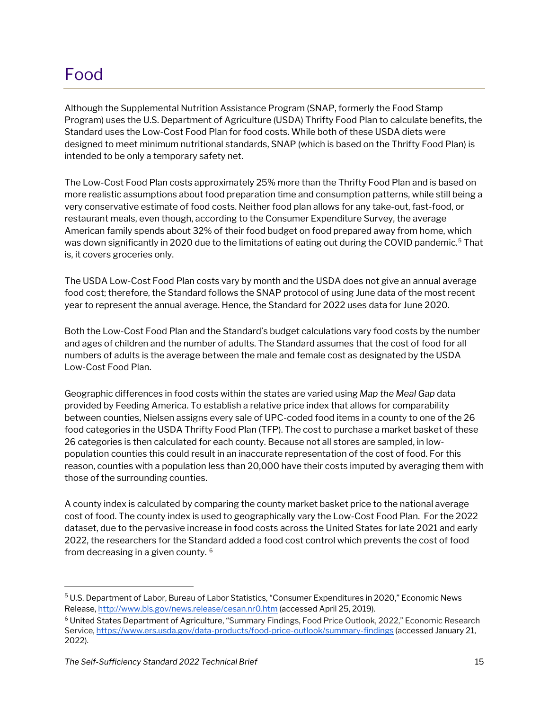### <span id="page-14-0"></span>Food

Although the Supplemental Nutrition Assistance Program (SNAP, formerly the Food Stamp Program) uses the U.S. Department of Agriculture (USDA) Thrifty Food Plan to calculate benefits, the Standard uses the Low-Cost Food Plan for food costs. While both of these USDA diets were designed to meet minimum nutritional standards, SNAP (which is based on the Thrifty Food Plan) is intended to be only a temporary safety net.

The Low-Cost Food Plan costs approximately 25% more than the Thrifty Food Plan and is based on more realistic assumptions about food preparation time and consumption patterns, while still being a very conservative estimate of food costs. Neither food plan allows for any take-out, fast-food, or restaurant meals, even though, according to the Consumer Expenditure Survey, the average American family spends about 32% of their food budget on food prepared away from home, which was down significantly in 2020 due to the limitations of eating out during the COVID pandemic.<sup>[5](#page-14-1)</sup> That is, it covers groceries only.

The USDA Low-Cost Food Plan costs vary by month and the USDA does not give an annual average food cost; therefore, the Standard follows the SNAP protocol of using June data of the most recent year to represent the annual average. Hence, the Standard for 2022 uses data for June 2020.

Both the Low-Cost Food Plan and the Standard's budget calculations vary food costs by the number and ages of children and the number of adults. The Standard assumes that the cost of food for all numbers of adults is the average between the male and female cost as designated by the USDA Low-Cost Food Plan.

Geographic differences in food costs within the states are varied using *Map the Meal Gap* data provided by Feeding America. To establish a relative price index that allows for comparability between counties, Nielsen assigns every sale of UPC-coded food items in a county to one of the 26 food categories in the USDA Thrifty Food Plan (TFP). The cost to purchase a market basket of these 26 categories is then calculated for each county. Because not all stores are sampled, in lowpopulation counties this could result in an inaccurate representation of the cost of food. For this reason, counties with a population less than 20,000 have their costs imputed by averaging them with those of the surrounding counties.

A county index is calculated by comparing the county market basket price to the national average cost of food. The county index is used to geographically vary the Low-Cost Food Plan. For the 2022 dataset, due to the pervasive increase in food costs across the United States for late 2021 and early 2022, the researchers for the Standard added a food cost control which prevents the cost of food from decreasing in a given county. [6](#page-14-2)

<span id="page-14-1"></span><sup>5</sup> U.S. Department of Labor, Bureau of Labor Statistics, "Consumer Expenditures in 2020," Economic News Release, <http://www.bls.gov/news.release/cesan.nr0.htm> (accessed April 25, 2019).

<span id="page-14-2"></span><sup>6</sup> United States Department of Agriculture, "Summary Findings, Food Price Outlook, 2022," Economic Research Service[, https://www.ers.usda.gov/data-products/food-price-outlook/summary-findings](https://www.ers.usda.gov/data-products/food-price-outlook/summary-findings) (accessed January 21, 2022).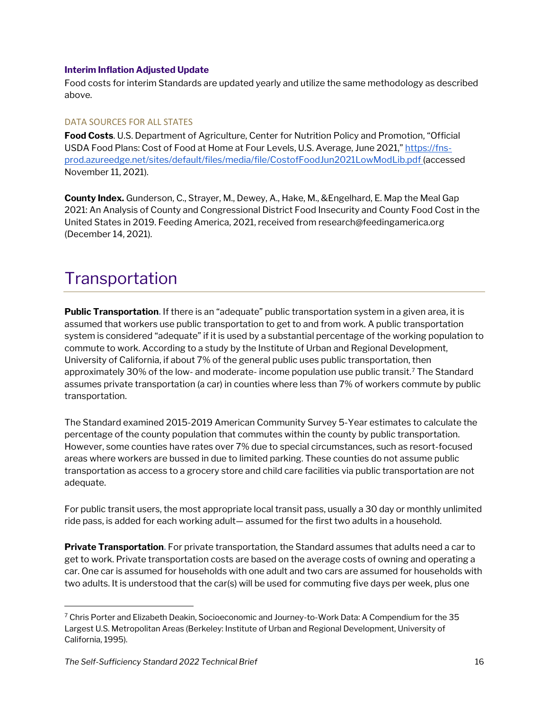#### **Interim Inflation Adjusted Update**

Food costs for interim Standards are updated yearly and utilize the same methodology as described above.

#### DATA SOURCES FOR ALL STATES

**Food Costs**. U.S. Department of Agriculture, Center for Nutrition Policy and Promotion, "Official USDA Food Plans: Cost of Food at Home at Four Levels, U.S. Average, June 2021," [https://fns](https://fns-prod.azureedge.net/sites/default/files/media/file/CostofFoodJun2020.pdf)[prod.azureedge.net/sites/default/files/media/file/CostofFoodJun2021LowModLib.pdf](https://fns-prod.azureedge.net/sites/default/files/media/file/CostofFoodJun2020.pdf) [\(](https://fns-prod.azureedge.net/sites/default/files/media/file/CostofFoodJun2020.pdf)accessed November 11, 2021).

**County Index.** Gunderson, C., Strayer, M., Dewey, A., Hake, M., &Engelhard, E. Map the Meal Gap 2021: An Analysis of County and Congressional District Food Insecurity and County Food Cost in the United States in 2019. Feeding America, 2021, received from research@feedingamerica.org (December 14, 2021).

### <span id="page-15-0"></span>**Transportation**

**Public Transportation.** If there is an "adequate" public transportation system in a given area, it is assumed that workers use public transportation to get to and from work. A public transportation system is considered "adequate" if it is used by a substantial percentage of the working population to commute to work. According to a study by the Institute of Urban and Regional Development, University of California, if about 7% of the general public uses public transportation, then approximately 30% of the low- and moderate- income population use public transit.<sup>[7](#page-15-1)</sup> The Standard assumes private transportation (a car) in counties where less than 7% of workers commute by public transportation.

The Standard examined 2015-2019 American Community Survey 5-Year estimates to calculate the percentage of the county population that commutes within the county by public transportation. However, some counties have rates over 7% due to special circumstances, such as resort-focused areas where workers are bussed in due to limited parking. These counties do not assume public transportation as access to a grocery store and child care facilities via public transportation are not adequate.

For public transit users, the most appropriate local transit pass, usually a 30 day or monthly unlimited ride pass, is added for each working adult— assumed for the first two adults in a household.

**Private Transportation.** For private transportation, the Standard assumes that adults need a car to get to work. Private transportation costs are based on the average costs of owning and operating a car. One car is assumed for households with one adult and two cars are assumed for households with two adults. It is understood that the car(s) will be used for commuting five days per week, plus one

<span id="page-15-1"></span> $7$  Chris Porter and Elizabeth Deakin, Socioeconomic and Journey-to-Work Data: A Compendium for the 35 Largest U.S. Metropolitan Areas (Berkeley: Institute of Urban and Regional Development, University of California, 1995).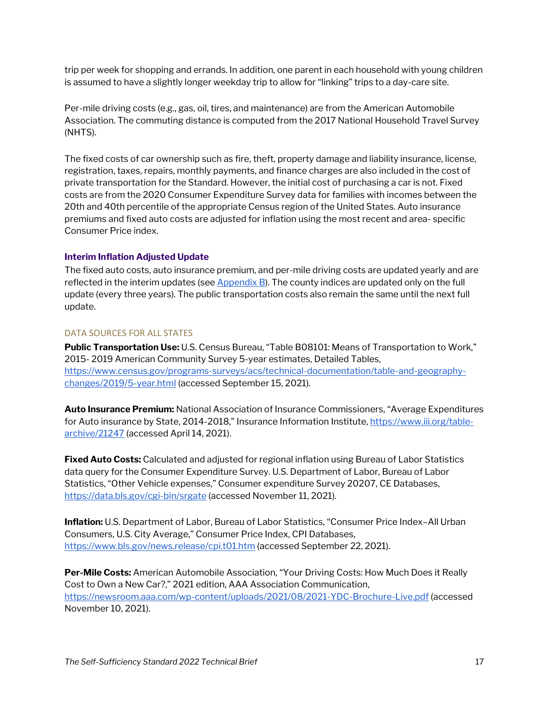trip per week for shopping and errands. In addition, one parent in each household with young children is assumed to have a slightly longer weekday trip to allow for "linking" trips to a day-care site.

Per-mile driving costs (e.g., gas, oil, tires, and maintenance) are from the American Automobile Association. The commuting distance is computed from the 2017 National Household Travel Survey (NHTS).

The fixed costs of car ownership such as fire, theft, property damage and liability insurance, license, registration, taxes, repairs, monthly payments, and finance charges are also included in the cost of private transportation for the Standard. However, the initial cost of purchasing a car is not. Fixed costs are from the 2020 Consumer Expenditure Survey data for families with incomes between the 20th and 40th percentile of the appropriate Census region of the United States. Auto insurance premiums and fixed auto costs are adjusted for inflation using the most recent and area- specific Consumer Price index.

#### **Interim Inflation Adjusted Update**

The fixed auto costs, auto insurance premium, and per-mile driving costs are updated yearly and are reflected in the interim updates (see  $AppendixB$ ). The county indices are updated only on the full update (every three years). The public transportation costs also remain the same until the next full update.

#### DATA SOURCES FOR ALL STATES

**Public Transportation Use:** U.S. Census Bureau, "Table B08101: Means of Transportation to Work," 2015- 2019 American Community Survey 5-year estimates, Detailed Tables, [https://www.census.gov/programs-surveys/acs/technical-documentation/table-and-geography](https://www.census.gov/programs-surveys/acs/technical-documentation/table-and-geography-changes/2019/5-year.html)[changes/2019/5-year.html](https://www.census.gov/programs-surveys/acs/technical-documentation/table-and-geography-changes/2019/5-year.html) (accessed September 15, 2021).

**Auto Insurance Premium:** National Association of Insurance Commissioners, "Average Expenditures for Auto insurance by State, 2014-2018," Insurance Information Institute, [https://www.iii.org/table](https://www.iii.org/table-archive/21247)[archive/21247](https://www.iii.org/table-archive/21247) (accessed April 14, 2021).

**Fixed Auto Costs:** Calculated and adjusted for regional inflation using Bureau of Labor Statistics data query for the Consumer Expenditure Survey. U.S. Department of Labor, Bureau of Labor Statistics, "Other Vehicle expenses," Consumer expenditure Survey 20207, CE Databases, <https://data.bls.gov/cgi-bin/srgate> (accessed November 11, 2021).

**Inflation:** U.S. Department of Labor, Bureau of Labor Statistics, "Consumer Price Index–All Urban Consumers, U.S. City Average," Consumer Price Index, CPI Databases, <https://www.bls.gov/news.release/cpi.t01.htm> (accessed September 22, 2021).

**Per-Mile Costs:** American Automobile Association, "Your Driving Costs: How Much Does it Really Cost to Own a New Car?," 2021 edition, AAA Association Communication, <https://newsroom.aaa.com/wp-content/uploads/2021/08/2021-YDC-Brochure-Live.pdf> (accessed November 10, 2021).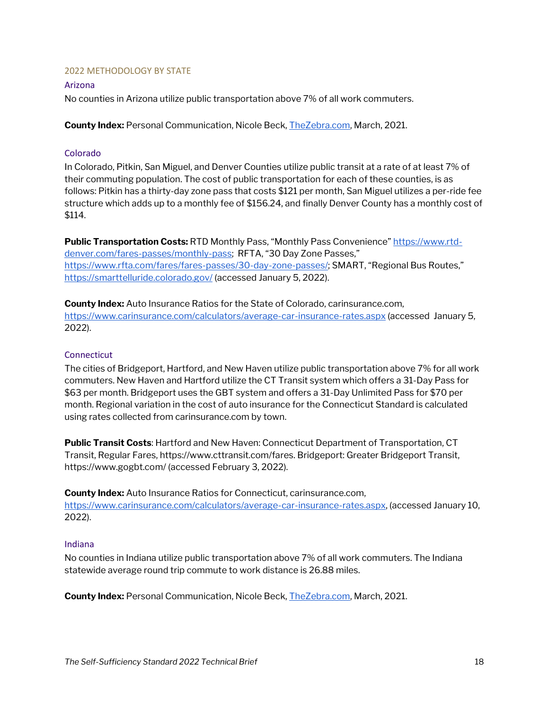#### <span id="page-17-0"></span>2022 METHODOLOGY BY STATE

#### Arizona

No counties in Arizona utilize public transportation above 7% of all work commuters.

**County Index:** Personal Communication, Nicole Beck[, TheZebra.com,](http://www.thezebra.com/) March, 2021.

#### Colorado

In Colorado, Pitkin, San Miguel, and Denver Counties utilize public transit at a rate of at least 7% of their commuting population. The cost of public transportation for each of these counties, is as follows: Pitkin has a thirty-day zone pass that costs \$121 per month, San Miguel utilizes a per-ride fee structure which adds up to a monthly fee of \$156.24, and finally Denver County has a monthly cost of \$114.

**Public Transportation Costs: RTD Monthly Pass, "Monthly Pass Convenience[" https://www.rtd](https://www.rtd-denver.com/fares-passes/monthly-pass)**[denver.com/fares-passes/monthly-pass;](https://www.rtd-denver.com/fares-passes/monthly-pass) RFTA, "30 Day Zone Passes," [https://www.rfta.com/fares/fares-passes/30-day-zone-passes/;](https://www.rfta.com/fares/fares-passes/30-day-zone-passes/) SMART, "Regional Bus Routes," <https://smarttelluride.colorado.gov/> (accessed January 5, 2022).

**County Index:** Auto Insurance Ratios for the State of Colorado, carinsurance.com, <https://www.carinsurance.com/calculators/average-car-insurance-rates.aspx> (accessed January 5, 2022).

#### **Connecticut**

The cities of Bridgeport, Hartford, and New Haven utilize public transportation above 7% for all work commuters. New Haven and Hartford utilize the CT Transit system which offers a 31-Day Pass for \$63 per month. Bridgeport uses the GBT system and offers a 31-Day Unlimited Pass for \$70 per month. Regional variation in the cost of auto insurance for the Connecticut Standard is calculated using rates collected from carinsurance.com by town.

**Public Transit Costs**: Hartford and New Haven: Connecticut Department of Transportation, CT Transit, Regular Fares, https://www.cttransit.com/fares. Bridgeport: Greater Bridgeport Transit, https://www.gogbt.com/ (accessed February 3, 2022).

**County Index:** Auto Insurance Ratios for Connecticut, carinsurance.com, [https://www.carinsurance.com/calculators/average-car-insurance-rates.aspx,](https://www.carinsurance.com/calculators/average-car-insurance-rates.aspx) (accessed January 10, 2022).

#### Indiana

No counties in Indiana utilize public transportation above 7% of all work commuters. The Indiana statewide average round trip commute to work distance is 26.88 miles.

**County Index:** Personal Communication, Nicole Beck[, TheZebra.com,](http://www.thezebra.com/) March, 2021.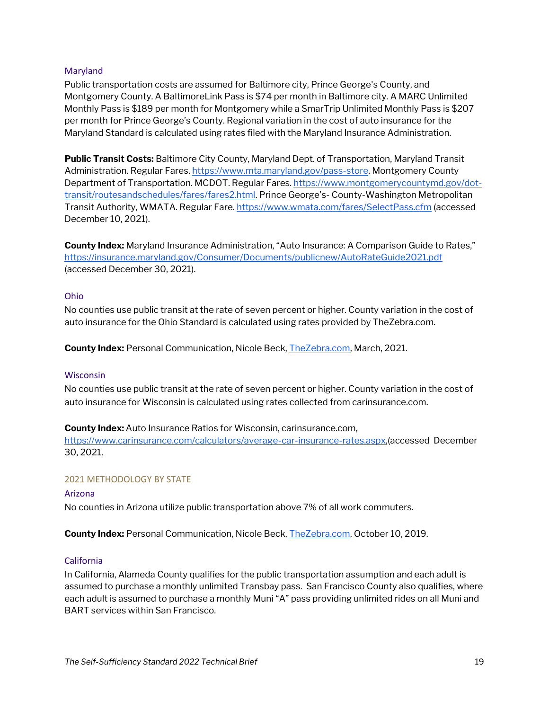#### Maryland

Public transportation costs are assumed for Baltimore city, Prince George's County, and Montgomery County. A BaltimoreLink Pass is \$74 per month in Baltimore city. A MARC Unlimited Monthly Pass is \$189 per month for Montgomery while a SmarTrip Unlimited Monthly Pass is \$207 per month for Prince George's County. Regional variation in the cost of auto insurance for the Maryland Standard is calculated using rates filed with the Maryland Insurance Administration.

**Public Transit Costs:** Baltimore City County, Maryland Dept. of Transportation, Maryland Transit Administration. Regular Fares[. https://www.mta.maryland.gov/pass-store.](https://www.mta.maryland.gov/pass-store) Montgomery County Department of Transportation. MCDOT. Regular Fares[. https://www.montgomerycountymd.gov/dot](https://www.montgomerycountymd.gov/dot-transit/routesandschedules/fares/fares2.html)[transit/routesandschedules/fares/fares2.html.](https://www.montgomerycountymd.gov/dot-transit/routesandschedules/fares/fares2.html) Prince George's- County-Washington Metropolitan Transit Authority, WMATA. Regular Fare.<https://www.wmata.com/fares/SelectPass.cfm> (accessed December 10, 2021).

**County Index:** Maryland Insurance Administration, "Auto Insurance: A Comparison Guide to Rates," <https://insurance.maryland.gov/Consumer/Documents/publicnew/AutoRateGuide2021.pdf> (accessed December 30, 2021).

#### Ohio

No counties use public transit at the rate of seven percent or higher. County variation in the cost of auto insurance for the Ohio Standard is calculated using rates provided by TheZebra.com.

**County Index:** Personal Communication, Nicole Beck[, TheZebra.com,](http://www.thezebra.com/) March, 2021.

#### Wisconsin

No counties use public transit at the rate of seven percent or higher. County variation in the cost of auto insurance for Wisconsin is calculated using rates collected from carinsurance.com.

#### **County Index:** Auto Insurance Ratios for Wisconsin, carinsurance.com,

[https://www.carinsurance.com/calculators/average-car-insurance-rates.aspx,](https://www.carinsurance.com/calculators/average-car-insurance-rates.aspx)(accessed December 30, 2021.

#### <span id="page-18-0"></span>2021 METHODOLOGY BY STATE

#### Arizona

No counties in Arizona utilize public transportation above 7% of all work commuters.

**County Index:** Personal Communication, Nicole Beck[, TheZebra.com,](http://www.thezebra.com/) October 10, 2019.

#### California

In California, Alameda County qualifies for the public transportation assumption and each adult is assumed to purchase a monthly unlimited Transbay pass. San Francisco County also qualifies, where each adult is assumed to purchase a monthly Muni "A" pass providing unlimited rides on all Muni and BART services within San Francisco.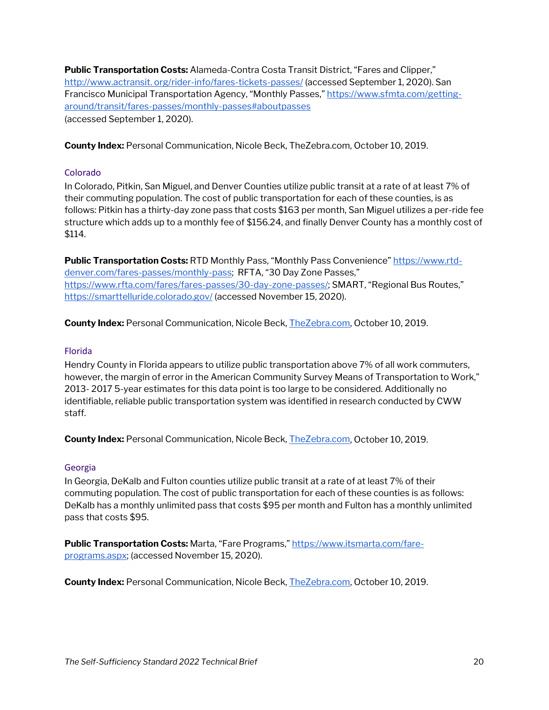**Public Transportation Costs:** Alameda-Contra Costa Transit District, "Fares and Clipper," [http://www.actransit. org/rider-info/fares-tickets-passes/](http://www.actransit./) (accessed September 1, 2020). San Francisco Municipal Transportation Agency, "Monthly Passes," [https://www.sfmta.com/getting](https://www.sfmta.com/getting-around/transit/fares-passes/monthly-passes#aboutpasses)[around/transit/fares-passes/monthly-passes#aboutpasses](https://www.sfmta.com/getting-around/transit/fares-passes/monthly-passes#aboutpasses)  (accessed September 1, 2020).

**County Index:** Personal Communication, Nicole Beck, TheZebra.com, October 10, 2019.

#### Colorado

In Colorado, Pitkin, San Miguel, and Denver Counties utilize public transit at a rate of at least 7% of their commuting population. The cost of public transportation for each of these counties, is as follows: Pitkin has a thirty-day zone pass that costs \$163 per month, San Miguel utilizes a per-ride fee structure which adds up to a monthly fee of \$156.24, and finally Denver County has a monthly cost of \$114.

**Public Transportation Costs:** RTD Monthly Pass, "Monthly Pass Convenience[" https://www.rtd](https://www.rtd-denver.com/fares-passes/monthly-pass)[denver.com/fares-passes/monthly-pass;](https://www.rtd-denver.com/fares-passes/monthly-pass) RFTA, "30 Day Zone Passes," [https://www.rfta.com/fares/fares-passes/30-day-zone-passes/;](https://www.rfta.com/fares/fares-passes/30-day-zone-passes/) SMART, "Regional Bus Routes," <https://smarttelluride.colorado.gov/> (accessed November 15, 2020).

**County Index:** Personal Communication, Nicole Beck[, TheZebra.com,](http://www.thezebra.com/) October 10, 2019.

#### Florida

Hendry County in Florida appears to utilize public transportation above 7% of all work commuters, however, the margin of error in the American Community Survey Means of Transportation to Work," 2013- 2017 5-year estimates for this data point is too large to be considered. Additionally no identifiable, reliable public transportation system was identified in research conducted by CWW staff.

**County Index:** Personal Communication, Nicole Beck[, TheZebra.com,](http://www.thezebra.com/) October 10, 2019.

#### Georgia

In Georgia, DeKalb and Fulton counties utilize public transit at a rate of at least 7% of their commuting population. The cost of public transportation for each of these counties is as follows: DeKalb has a monthly unlimited pass that costs \$95 per month and Fulton has a monthly unlimited pass that costs \$95.

**Public Transportation Costs:** Marta, "Fare Programs,[" https://www.itsmarta.com/fare](https://www.itsmarta.com/fare-programs.aspx)[programs.aspx;](https://www.itsmarta.com/fare-programs.aspx) (accessed November 15, 2020).

**County Index:** Personal Communication, Nicole Beck[, TheZebra.com,](http://www.thezebra.com/) October 10, 2019.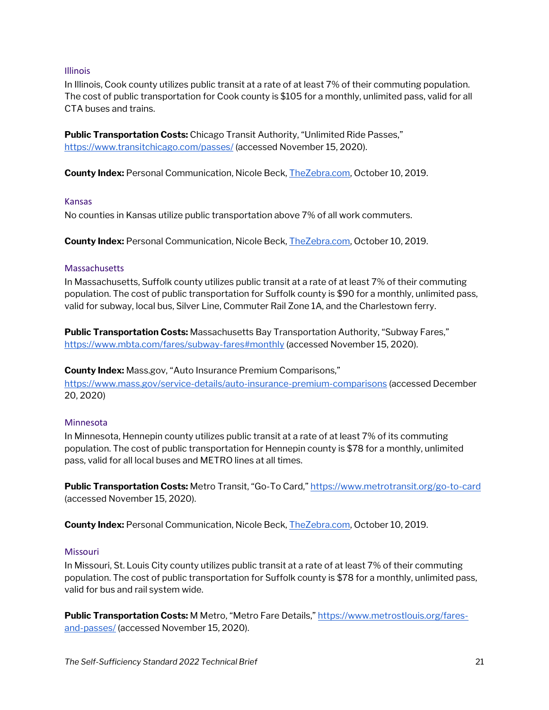#### Illinois

In Illinois, Cook county utilizes public transit at a rate of at least 7% of their commuting population. The cost of public transportation for Cook county is \$105 for a monthly, unlimited pass, valid for all CTA buses and trains.

**Public Transportation Costs:** Chicago Transit Authority, "Unlimited Ride Passes," <https://www.transitchicago.com/passes/> (accessed November 15, 2020).

**County Index:** Personal Communication, Nicole Beck[, TheZebra.com,](http://www.thezebra.com/) October 10, 2019.

#### Kansas

No counties in Kansas utilize public transportation above 7% of all work commuters.

**County Index:** Personal Communication, Nicole Beck[, TheZebra.com,](http://www.thezebra.com/) October 10, 2019.

#### **Massachusetts**

In Massachusetts, Suffolk county utilizes public transit at a rate of at least 7% of their commuting population. The cost of public transportation for Suffolk county is \$90 for a monthly, unlimited pass, valid for subway, local bus, Silver Line, Commuter Rail Zone 1A, and the Charlestown ferry.

**Public Transportation Costs:** Massachusetts Bay Transportation Authority, "Subway Fares," <https://www.mbta.com/fares/subway-fares#monthly> (accessed November 15, 2020).

#### **County Index:** Mass.gov, "Auto Insurance Premium Comparisons,"

<https://www.mass.gov/service-details/auto-insurance-premium-comparisons> (accessed December 20, 2020)

#### Minnesota

In Minnesota, Hennepin county utilizes public transit at a rate of at least 7% of its commuting population. The cost of public transportation for Hennepin county is \$78 for a monthly, unlimited pass, valid for all local buses and METRO lines at all times.

**Public Transportation Costs:** Metro Transit, "Go-To Card,[" https://www.metrotransit.org/go-to-card](https://www.metrotransit.org/go-to-card) (accessed November 15, 2020).

**County Index:** Personal Communication, Nicole Beck[, TheZebra.com,](http://www.thezebra.com/) October 10, 2019.

#### Missouri

In Missouri, St. Louis City county utilizes public transit at a rate of at least 7% of their commuting population. The cost of public transportation for Suffolk county is \$78 for a monthly, unlimited pass, valid for bus and rail system wide.

Public Transportation Costs: M Metro, "Metro Fare Details,[" https://www.metrostlouis.org/fares](https://www.metrostlouis.org/fares-and-passes/)[and-passes/](https://www.metrostlouis.org/fares-and-passes/) (accessed November 15, 2020).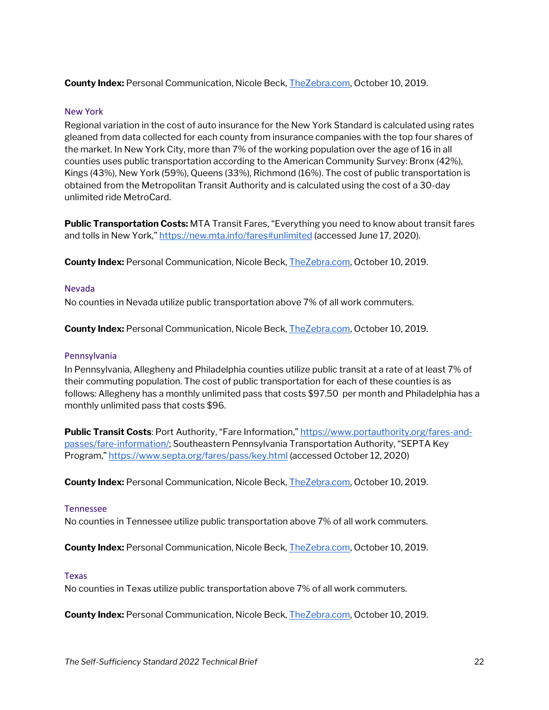**County Index:** Personal Communication, Nicole Beck[, TheZebra.com,](http://www.thezebra.com/) October 10, 2019.

#### New York

Regional variation in the cost of auto insurance for the New York Standard is calculated using rates gleaned from data collected for each county from insurance companies with the top four shares of the market. In New York City, more than 7% of the working population over the age of 16 in all counties uses public transportation according to the American Community Survey: Bronx (42%), Kings (43%), New York (59%), Queens (33%), Richmond (16%). The cost of public transportation is obtained from the Metropolitan Transit Authority and is calculated using the cost of a 30-day unlimited ride MetroCard.

**Public Transportation Costs:** MTA Transit Fares, "Everything you need to know about transit fares and tolls in New York,[" https://new.mta.info/fares#unlimited](https://new.mta.info/fares#unlimited) (accessed June 17, 2020).

**County Index:** Personal Communication, Nicole Beck[, TheZebra.com,](http://www.thezebra.com/) October 10, 2019.

#### Nevada

No counties in Nevada utilize public transportation above 7% of all work commuters.

**County Index:** Personal Communication, Nicole Beck[, TheZebra.com,](http://www.thezebra.com/) October 10, 2019.

#### Pennsylvania

In Pennsylvania, Allegheny and Philadelphia counties utilize public transit at a rate of at least 7% of their commuting population. The cost of public transportation for each of these counties is as follows: Allegheny has a monthly unlimited pass that costs \$97.50 per month and Philadelphia has a monthly unlimited pass that costs \$96.

**Public Transit Costs**: Port Authority, "Fare Information,[" https://www.portauthority.org/fares-and](https://www.portauthority.org/fares-and-passes/fare-information/)[passes/fare-information/;](https://www.portauthority.org/fares-and-passes/fare-information/) Southeastern Pennsylvania Transportation Authority, "SEPTA Key Program,[" https://www.septa.org/fares/pass/key.html](https://www.septa.org/fares/pass/key.html) (accessed October 12, 2020)

**County Index:** Personal Communication, Nicole Beck[, TheZebra.com,](http://www.thezebra.com/) October 10, 2019.

#### Tennessee

No counties in Tennessee utilize public transportation above 7% of all work commuters.

**County Index:** Personal Communication, Nicole Beck[, TheZebra.com,](http://www.thezebra.com/) October 10, 2019.

#### Texas

No counties in Texas utilize public transportation above 7% of all work commuters.

**County Index:** Personal Communication, Nicole Beck[, TheZebra.com,](http://www.thezebra.com/) October 10, 2019.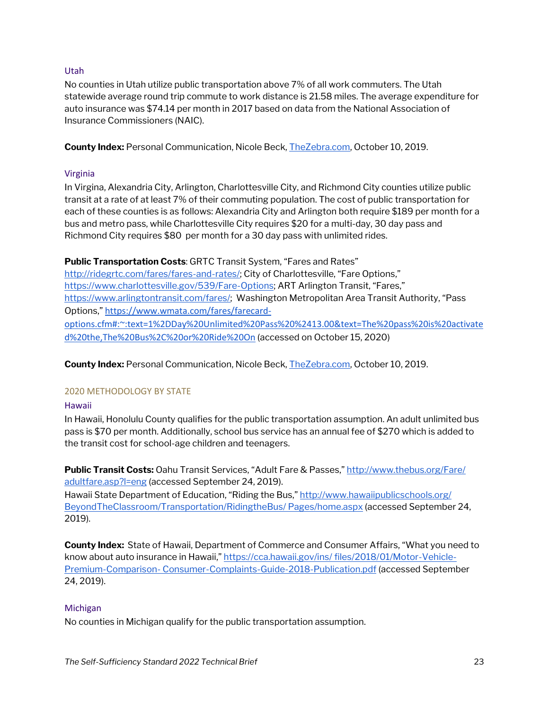#### Utah

No counties in Utah utilize public transportation above 7% of all work commuters. The Utah statewide average round trip commute to work distance is 21.58 miles. The average expenditure for auto insurance was \$74.14 per month in 2017 based on data from the National Association of Insurance Commissioners (NAIC).

**County Index:** Personal Communication, Nicole Beck[, TheZebra.com,](http://www.thezebra.com/) October 10, 2019.

#### Virginia

In Virgina, Alexandria City, Arlington, Charlottesville City, and Richmond City counties utilize public transit at a rate of at least 7% of their commuting population. The cost of public transportation for each of these counties is as follows: Alexandria City and Arlington both require \$189 per month for a bus and metro pass, while Charlottesville City requires \$20 for a multi-day, 30 day pass and Richmond City requires \$80 per month for a 30 day pass with unlimited rides.

**Public Transportation Costs**: GRTC Transit System, "Fares and Rates"

[http://ridegrtc.com/fares/fares-and-rates/;](http://ridegrtc.com/fares/fares-and-rates/) City of Charlottesville, "Fare Options," [https://www.charlottesville.gov/539/Fare-Options;](https://www.charlottesville.gov/539/Fare-Options) ART Arlington Transit, "Fares," [https://www.arlingtontransit.com/fares/;](https://www.arlingtontransit.com/fares/) Washington Metropolitan Area Transit Authority, "Pass Options," [https://www.wmata.com/fares/farecard](https://www.wmata.com/fares/farecard-options.cfm#:%7E:text=1%2DDay%20Unlimited%20Pass%20%2413.00&text=The%20pass%20is%20activated%20the,The%20Bus%2C%20or%20Ride%20On)[options.cfm#:~:text=1%2DDay%20Unlimited%20Pass%20%2413.00&text=The%20pass%20is%20activate](https://www.wmata.com/fares/farecard-options.cfm#:%7E:text=1%2DDay%20Unlimited%20Pass%20%2413.00&text=The%20pass%20is%20activated%20the,The%20Bus%2C%20or%20Ride%20On) [d%20the,The%20Bus%2C%20or%20Ride%20On](https://www.wmata.com/fares/farecard-options.cfm#:%7E:text=1%2DDay%20Unlimited%20Pass%20%2413.00&text=The%20pass%20is%20activated%20the,The%20Bus%2C%20or%20Ride%20On) (accessed on October 15, 2020)

**County Index:** Personal Communication, Nicole Beck[, TheZebra.com,](http://www.thezebra.com/) October 10, 2019.

#### <span id="page-22-0"></span>2020 METHODOLOGY BY STATE

#### Hawaii

In Hawaii, Honolulu County qualifies for the public transportation assumption. An adult unlimited bus pass is \$70 per month. Additionally, school bus service has an annual fee of \$270 which is added to the transit cost for school-age children and teenagers.

Public Transit Costs: Oahu Transit Services, "Adult Fare & Passes," http://www.thebus.org/Fare/ [adultfare.asp?l=eng](http://www.thebus.org/Fare/) (accessed September 24, 2019).

Hawaii State Department of Education, "Riding the Bus," http://www.hawaiipublicschools.org/ [BeyondTheClassroom/Transportation/RidingtheBus/ Pages/home.aspx](http://www.hawaiipublicschools.org/) (accessed September 24, 2019).

**County Index:** State of Hawaii, Department of Commerce and Consumer Affairs, "What you need to know about auto insurance in Hawaii,[" https://cca.hawaii.gov/ins/ files/2018/01/Motor-Vehicle-](https://cca.hawaii.gov/ins/)Premium-Comparison- [Consumer-Complaints-Guide-2018-Publication.pdf](https://cca.hawaii.gov/ins/) (accessed September 24, 2019).

#### Michigan

No counties in Michigan qualify for the public transportation assumption.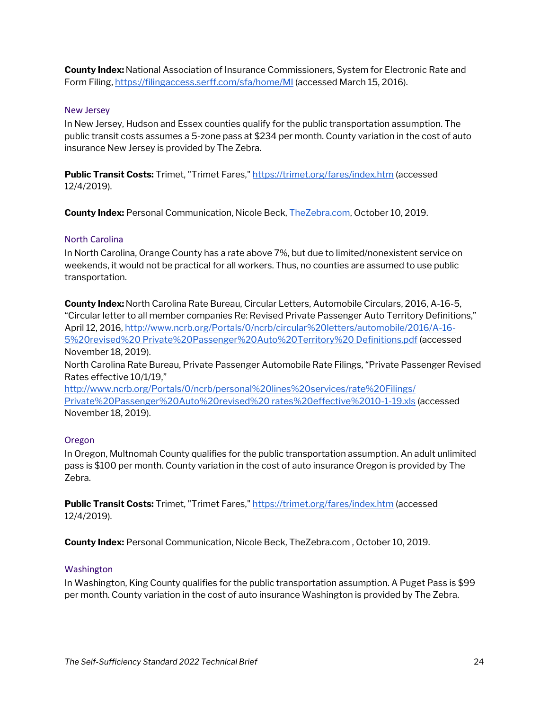**County Index:** National Association of Insurance Commissioners, System for Electronic Rate and Form Filing[, https://filingaccess.serff.com/sfa/home/MI](https://filingaccess.serff.com/sfa/home/MI) (accessed March 15, 2016).

#### New Jersey

In New Jersey, Hudson and Essex counties qualify for the public transportation assumption. The public transit costs assumes a 5-zone pass at \$234 per month. County variation in the cost of auto insurance New Jersey is provided by The Zebra.

**Public Transit Costs:** Trimet, "Trimet Fares,"<https://trimet.org/fares/index.htm> (accessed 12/4/2019).

**County Index:** Personal Communication, Nicole Beck[, TheZebra.com,](http://www.thezebra.com/) October 10, 2019.

#### North Carolina

In North Carolina, Orange County has a rate above 7%, but due to limited/nonexistent service on weekends, it would not be practical for all workers. Thus, no counties are assumed to use public transportation.

**County Index:** North Carolina Rate Bureau, Circular Letters, Automobile Circulars, 2016, A-16-5, "Circular letter to all member companies Re: Revised Private Passenger Auto Territory Definitions," April 12, 2016[, http://www.ncrb.org/Portals/0/ncrb/circular%20letters/automobile/2016/A-16-](http://www.ncrb.org/Portals/0/ncrb/circular%20letters/automobile/2016/A-16-5%20revised) [5%20revised%20 Private%20Passenger%20Auto%20Territory%20 Definitions.pdf](http://www.ncrb.org/Portals/0/ncrb/circular%20letters/automobile/2016/A-16-5%20revised) (accessed November 18, 2019).

North Carolina Rate Bureau, Private Passenger Automobile Rate Filings, "Private Passenger Revised Rates effective 10/1/19,"

<http://www.ncrb.org/Portals/0/ncrb/personal%20lines%20services/rate%20Filings/> [Private%20Passenger%20Auto%20revised%20 rates%20effective%2010-1-19.xls](http://www.ncrb.org/Portals/0/ncrb/personal%20lines%20services/rate%20Filings/) (accessed November 18, 2019).

#### Oregon

In Oregon, Multnomah County qualifies for the public transportation assumption. An adult unlimited pass is \$100 per month. County variation in the cost of auto insurance Oregon is provided by The Zebra.

**Public Transit Costs:** Trimet, "Trimet Fares,"<https://trimet.org/fares/index.htm> (accessed 12/4/2019).

**County Index:** Personal Communication, Nicole Beck, TheZebra.com , October 10, 2019.

#### Washington

In Washington, King County qualifies for the public transportation assumption. A Puget Pass is \$99 per month. County variation in the cost of auto insurance Washington is provided by The Zebra.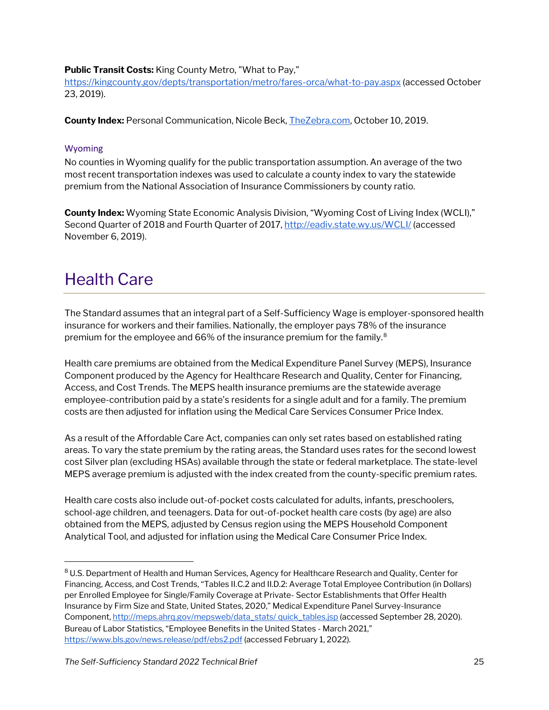#### **Public Transit Costs:** King County Metro, "What to Pay,"

<https://kingcounty.gov/depts/transportation/metro/fares-orca/what-to-pay.aspx> (accessed October 23, 2019).

**County Index:** Personal Communication, Nicole Beck[, TheZebra.com,](http://www.thezebra.com/) October 10, 2019.

#### Wyoming

No counties in Wyoming qualify for the public transportation assumption. An average of the two most recent transportation indexes was used to calculate a county index to vary the statewide premium from the National Association of Insurance Commissioners by county ratio.

**County Index:** Wyoming State Economic Analysis Division, "Wyoming Cost of Living Index (WCLI)," Second Quarter of 2018 and Fourth Quarter of 2017[, http://eadiv.state.wy.us/WCLI/](http://eadiv.state.wy.us/WCLI/) (accessed November 6, 2019).

### <span id="page-24-0"></span>Health Care

The Standard assumes that an integral part of a Self-Sufficiency Wage is employer-sponsored health insurance for workers and their families. Nationally, the employer pays 78% of the insurance premium for the employee and 66% of the insurance premium for the family.[8](#page-24-1)

Health care premiums are obtained from the Medical Expenditure Panel Survey (MEPS), Insurance Component produced by the Agency for Healthcare Research and Quality, Center for Financing, Access, and Cost Trends. The MEPS health insurance premiums are the statewide average employee-contribution paid by a state's residents for a single adult and for a family. The premium costs are then adjusted for inflation using the Medical Care Services Consumer Price Index.

As a result of the Affordable Care Act, companies can only set rates based on established rating areas. To vary the state premium by the rating areas, the Standard uses rates for the second lowest cost Silver plan (excluding HSAs) available through the state or federal marketplace. The state-level MEPS average premium is adjusted with the index created from the county-specific premium rates.

Health care costs also include out-of-pocket costs calculated for adults, infants, preschoolers, school-age children, and teenagers. Data for out-of-pocket health care costs (by age) are also obtained from the MEPS, adjusted by Census region using the MEPS Household Component Analytical Tool, and adjusted for inflation using the Medical Care Consumer Price Index.

<span id="page-24-1"></span><sup>8</sup> U.S. Department of Health and Human Services, Agency for Healthcare Research and Quality, Center for Financing, Access, and Cost Trends, "Tables II.C.2 and II.D.2: Average Total Employee Contribution (in Dollars) per Enrolled Employee for Single/Family Coverage at Private- Sector Establishments that Offer Health Insurance by Firm Size and State, United States, 2020," Medical Expenditure Panel Survey-Insurance Component, http://meps.ahrg.gov/mepsweb/data\_stats/ quick\_tables.jsp (accessed September 28, 2020). Bureau of Labor Statistics, "Employee Benefits in the United States - March 2021," <https://www.bls.gov/news.release/pdf/ebs2.pdf> (accessed February 1, 2022).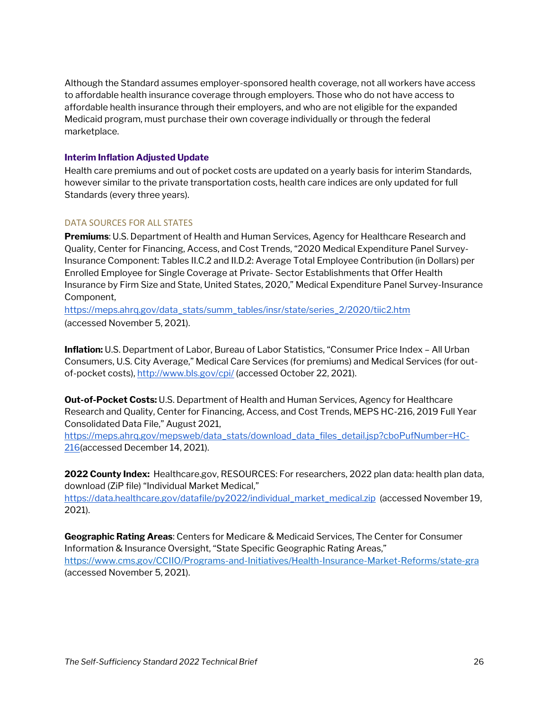Although the Standard assumes employer-sponsored health coverage, not all workers have access to affordable health insurance coverage through employers. Those who do not have access to affordable health insurance through their employers, and who are not eligible for the expanded Medicaid program, must purchase their own coverage individually or through the federal marketplace.

#### **Interim Inflation Adjusted Update**

Health care premiums and out of pocket costs are updated on a yearly basis for interim Standards, however similar to the private transportation costs, health care indices are only updated for full Standards (every three years).

#### DATA SOURCES FOR ALL STATES

**Premiums**: U.S. Department of Health and Human Services, Agency for Healthcare Research and Quality, Center for Financing, Access, and Cost Trends, "2020 Medical Expenditure Panel Survey-Insurance Component: Tables II.C.2 and II.D.2: Average Total Employee Contribution (in Dollars) per Enrolled Employee for Single Coverage at Private- Sector Establishments that Offer Health Insurance by Firm Size and State, United States, 2020," Medical Expenditure Panel Survey-Insurance Component,

[https://meps.ahrq.gov/data\\_stats/summ\\_tables/insr/state/series\\_2/2020/tiic2.htm](https://meps.ahrq.gov/data_stats/summ_tables/insr/state/series_2/2020/tiic2.htm) (accessed November 5, 2021).

**Inflation:** U.S. Department of Labor, Bureau of Labor Statistics, "Consumer Price Index – All Urban Consumers, U.S. City Average," Medical Care Services (for premiums) and Medical Services (for outof-pocket costs),<http://www.bls.gov/cpi/> (accessed October 22, 2021).

**Out-of-Pocket Costs:** U.S. Department of Health and Human Services, Agency for Healthcare Research and Quality, Center for Financing, Access, and Cost Trends, MEPS HC-216, 2019 Full Year Consolidated Data File," August 2021,

[https://meps.ahrq.gov/mepsweb/data\\_stats/download\\_data\\_files\\_detail.jsp?cboPufNumber=HC-](https://meps.ahrq.gov/mepsweb/data_stats/download_data_files_detail.jsp?cboPufNumber=HC-216)[216\(](https://meps.ahrq.gov/mepsweb/data_stats/download_data_files_detail.jsp?cboPufNumber=HC-216)accessed December 14, 2021).

**2022 County Index:** Healthcare.gov, RESOURCES: For researchers, 2022 plan data: health plan data, download (ZiP file) "Individual Market Medical,"

[https://data.healthcare.gov/datafile/py2022/individual\\_market\\_medical.zip](https://data.healthcare.gov/datafile/py2022/individual_market_medical.zip) (accessed November 19, 2021).

**Geographic Rating Areas**: Centers for Medicare & Medicaid Services, The Center for Consumer Information & Insurance Oversight, "State Specific Geographic Rating Areas," <https://www.cms.gov/CCIIO/Programs-and-Initiatives/Health-Insurance-Market-Reforms/state-gra> (accessed November 5, 2021).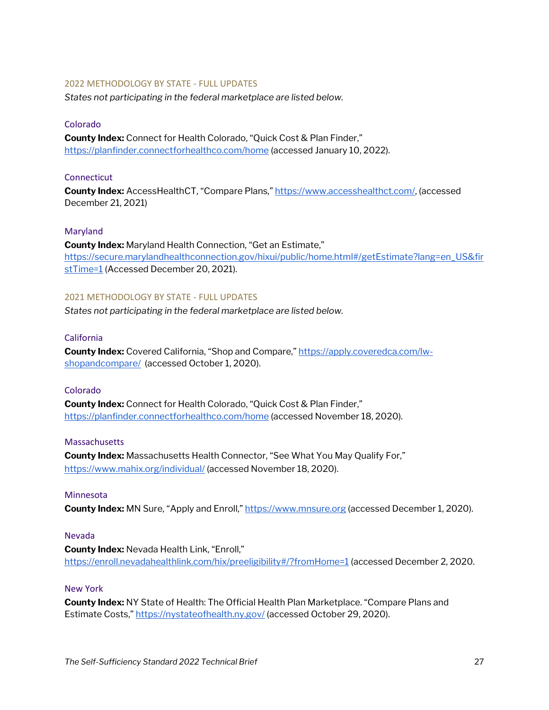#### <span id="page-26-0"></span>2022 METHODOLOGY BY STATE - FULL UPDATES

*States not participating in the federal marketplace are listed below.*

#### Colorado

**County Index:** Connect for Health Colorado, "Quick Cost & Plan Finder," <https://planfinder.connectforhealthco.com/home> (accessed January 10, 2022).

#### **Connecticut**

**County Index:** AccessHealthCT, "Compare Plans," [https://www.accesshealthct.com/,](https://www.accesshealthct.com/AHCT/FamilyInformation.action) (accessed December 21, 2021)

#### Maryland

**County Index:** Maryland Health Connection, "Get an Estimate," [https://secure.marylandhealthconnection.gov/hixui/public/home.html#/getEstimate?lang=en\\_US&fir](https://secure.marylandhealthconnection.gov/hixui/public/home.html#/getEstimate?lang=en_US&firstTime=1) [stTime=1](https://secure.marylandhealthconnection.gov/hixui/public/home.html#/getEstimate?lang=en_US&firstTime=1) (Accessed December 20, 2021).

#### <span id="page-26-1"></span>2021 METHODOLOGY BY STATE - FULL UPDATES

*States not participating in the federal marketplace are listed below.*

#### California

**County Index:** Covered California, "Shop and Compare," [https://apply.coveredca.com/lw](https://apply.coveredca.com/lw-shopandcompare/)[shopandcompare/](https://apply.coveredca.com/lw-shopandcompare/) (accessed October 1, 2020).

#### Colorado

**County Index:** Connect for Health Colorado, "Quick Cost & Plan Finder," <https://planfinder.connectforhealthco.com/home> (accessed November 18, 2020).

#### **Massachusetts**

**County Index:** Massachusetts Health Connector, "See What You May Qualify For," <https://www.mahix.org/individual/> (accessed November 18, 2020).

#### Minnesota

**County Index:** MN Sure, "Apply and Enroll,[" https://www.mnsure.org](https://www.mnsure.org/) (accessed December 1, 2020).

#### Nevada

**County Index:** Nevada Health Link, "Enroll," <https://enroll.nevadahealthlink.com/hix/preeligibility#/?fromHome=1> (accessed December 2, 2020.

#### New York

**County Index:** NY State of Health: The Official Health Plan Marketplace. "Compare Plans and Estimate Costs,[" https://nystateofhealth.ny.gov/](https://nystateofhealth.ny.gov/) (accessed October 29, 2020).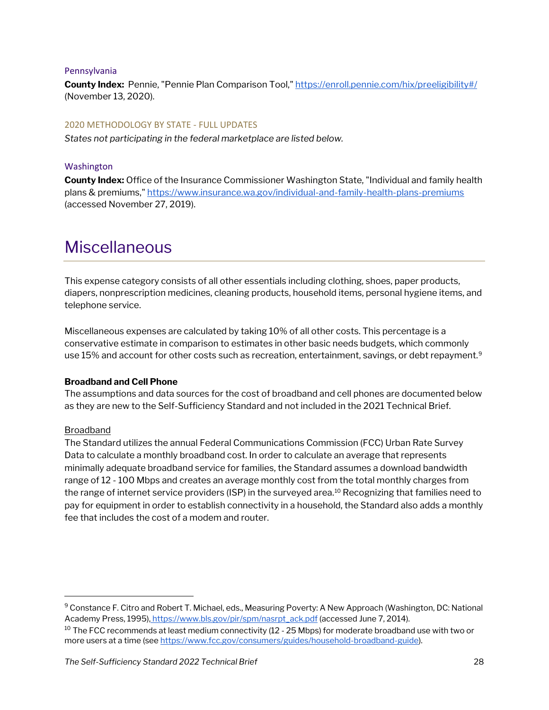#### Pennsylvania

**County Index:** Pennie, "Pennie Plan Comparison Tool,[" https://enroll.pennie.com/hix/preeligibility#/](https://enroll.pennie.com/hix/preeligibility#/) (November 13, 2020).

#### <span id="page-27-0"></span>2020 METHODOLOGY BY STATE - FULL UPDATES

*States not participating in the federal marketplace are listed below.*

#### Washington

**County Index:** Office of the Insurance Commissioner Washington State, "Individual and family health plans & premiums,[" https://www.insurance.wa.gov/individual-and-family-health-plans-premiums](https://www.insurance.wa.gov/individual-and-family-health-plans-premiums) (accessed November 27, 2019).

### <span id="page-27-1"></span>Miscellaneous

This expense category consists of all other essentials including clothing, shoes, paper products, diapers, nonprescription medicines, cleaning products, household items, personal hygiene items, and telephone service.

Miscellaneous expenses are calculated by taking 10% of all other costs. This percentage is a conservative estimate in comparison to estimates in other basic needs budgets, which commonly use 15% and account for other costs such as recreation, entertainment, savings, or debt repayment.<sup>[9](#page-27-2)</sup>

#### **Broadband and Cell Phone**

The assumptions and data sources for the cost of broadband and cell phones are documented below as they are new to the Self-Sufficiency Standard and not included in the 2021 Technical Brief.

#### Broadband

The Standard utilizes the annual Federal Communications Commission (FCC) Urban Rate Survey Data to calculate a monthly broadband cost. In order to calculate an average that represents minimally adequate broadband service for families, the Standard assumes a download bandwidth range of 12 - 100 Mbps and creates an average monthly cost from the total monthly charges from the range of internet service providers (ISP) in the surveyed area.<sup>[10](#page-27-3)</sup> Recognizing that families need to pay for equipment in order to establish connectivity in a household, the Standard also adds a monthly fee that includes the cost of a modem and router.

<span id="page-27-3"></span><span id="page-27-2"></span><sup>9</sup> Constance F. Citro and Robert T. Michael, eds., Measuring Poverty: A New Approach (Washington, DC: National Academy Press, 1995[\),](http://www.census.gov/hhes/povmeas/) [https://www.bls.gov/pir/spm/nasrpt\\_ack.pdf](https://www.bls.gov/pir/spm/nasrpt_ack.pdf) (accessed June 7, 2014). <sup>10</sup> The FCC recommends at least medium connectivity (12 - 25 Mbps) for moderate broadband use with two or more users at a time (see [https://www.fcc.gov/consumers/guides/household-broadband-guide\)](https://www.fcc.gov/consumers/guides/household-broadband-guide).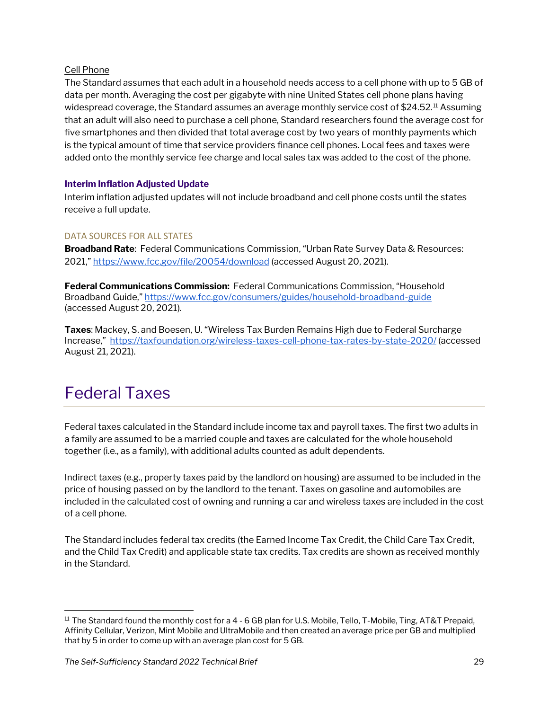#### Cell Phone

The Standard assumes that each adult in a household needs access to a cell phone with up to 5 GB of data per month. Averaging the cost per gigabyte with nine United States cell phone plans having widespread coverage, the Standard assumes an average monthly service cost of \$24.52.<sup>[11](#page-28-1)</sup> Assuming that an adult will also need to purchase a cell phone, Standard researchers found the average cost for five smartphones and then divided that total average cost by two years of monthly payments which is the typical amount of time that service providers finance cell phones. Local fees and taxes were added onto the monthly service fee charge and local sales tax was added to the cost of the phone.

#### **Interim Inflation Adjusted Update**

Interim inflation adjusted updates will not include broadband and cell phone costs until the states receive a full update.

#### DATA SOURCES FOR ALL STATES

**Broadband Rate**: Federal Communications Commission, "Urban Rate Survey Data & Resources: 2021,"<https://www.fcc.gov/file/20054/download> (accessed August 20, 2021).

**Federal Communications Commission:** Federal Communications Commission, "Household Broadband Guide,[" https://www.fcc.gov/consumers/guides/household-broadband-guide](https://www.fcc.gov/consumers/guides/household-broadband-guide) (accessed August 20, 2021).

**Taxes**: Mackey, S. and Boesen, U. "Wireless Tax Burden Remains High due to Federal Surcharge Increase,"<https://taxfoundation.org/wireless-taxes-cell-phone-tax-rates-by-state-2020/> (accessed August 21, 2021).

### <span id="page-28-0"></span>Federal Taxes

Federal taxes calculated in the Standard include income tax and payroll taxes. The first two adults in a family are assumed to be a married couple and taxes are calculated for the whole household together (i.e., as a family), with additional adults counted as adult dependents.

Indirect taxes (e.g., property taxes paid by the landlord on housing) are assumed to be included in the price of housing passed on by the landlord to the tenant. Taxes on gasoline and automobiles are included in the calculated cost of owning and running a car and wireless taxes are included in the cost of a cell phone.

The Standard includes federal tax credits (the Earned Income Tax Credit, the Child Care Tax Credit, and the Child Tax Credit) and applicable state tax credits. Tax credits are shown as received monthly in the Standard.

<span id="page-28-1"></span><sup>&</sup>lt;sup>11</sup> The Standard found the monthly cost for a 4 - 6 GB plan for U.S. Mobile, Tello, T-Mobile, Ting, AT&T Prepaid, Affinity Cellular, Verizon, Mint Mobile and UltraMobile and then created an average price per GB and multiplied that by 5 in order to come up with an average plan cost for 5 GB.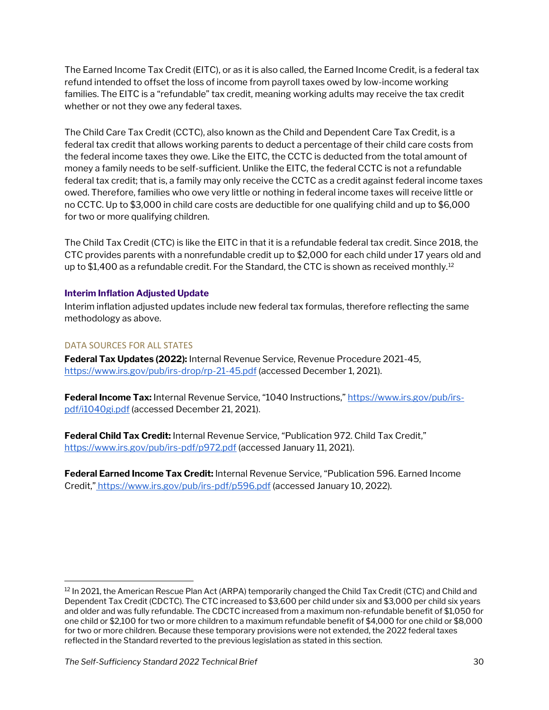The Earned Income Tax Credit (EITC), or as it is also called, the Earned Income Credit, is a federal tax refund intended to offset the loss of income from payroll taxes owed by low-income working families. The EITC is a "refundable" tax credit, meaning working adults may receive the tax credit whether or not they owe any federal taxes.

The Child Care Tax Credit (CCTC), also known as the Child and Dependent Care Tax Credit, is a federal tax credit that allows working parents to deduct a percentage of their child care costs from the federal income taxes they owe. Like the EITC, the CCTC is deducted from the total amount of money a family needs to be self-sufficient. Unlike the EITC, the federal CCTC is not a refundable federal tax credit; that is, a family may only receive the CCTC as a credit against federal income taxes owed. Therefore, families who owe very little or nothing in federal income taxes will receive little or no CCTC. Up to \$3,000 in child care costs are deductible for one qualifying child and up to \$6,000 for two or more qualifying children.

The Child Tax Credit (CTC) is like the EITC in that it is a refundable federal tax credit. Since 2018, the CTC provides parents with a nonrefundable credit up to \$2,000 for each child under 17 years old and up to \$1,400 as a refundable credit. For the Standard, the CTC is shown as received monthly.<sup>[12](#page-29-1)</sup>

#### **Interim Inflation Adjusted Update**

Interim inflation adjusted updates include new federal tax formulas, therefore reflecting the same methodology as above.

#### DATA SOURCES FOR ALL STATES

**Federal Tax Updates (2022):** Internal Revenue Service, Revenue Procedure 2021-45, <https://www.irs.gov/pub/irs-drop/rp-21-45.pdf> (accessed December 1, 2021).

**Federal Income Tax:** Internal Revenue Service, "1040 Instructions," [https://www.irs.gov/pub/irs](https://www.irs.gov/pub/irs-pdf/i1040gi.pdf)[pdf/i1040gi.pdf](https://www.irs.gov/pub/irs-pdf/i1040gi.pdf) (accessed December 21, 2021).

**Federal Child Tax Credit:** Internal Revenue Service, "Publication 972. Child Tax Credit," <https://www.irs.gov/pub/irs-pdf/p972.pdf> (accessed January 11, 2021).

<span id="page-29-0"></span>**Federal Earned Income Tax Credit:** Internal Revenue Service, "Publication 596. Earned Income Credit,["](https://www.irs.gov/pub/irs-pdf/p596.pdf) <https://www.irs.gov/pub/irs-pdf/p596.pdf> (accessed January 10, 2022).

<span id="page-29-1"></span><sup>&</sup>lt;sup>12</sup> In 2021, the American Rescue Plan Act (ARPA) temporarily changed the Child Tax Credit (CTC) and Child and Dependent Tax Credit (CDCTC). The CTC increased to \$3,600 per child under six and \$3,000 per child six years and older and was fully refundable. The CDCTC increased from a maximum non-refundable benefit of \$1,050 for one child or \$2,100 for two or more children to a maximum refundable benefit of \$4,000 for one child or \$8,000 for two or more children. Because these temporary provisions were not extended, the 2022 federal taxes reflected in the Standard reverted to the previous legislation as stated in this section.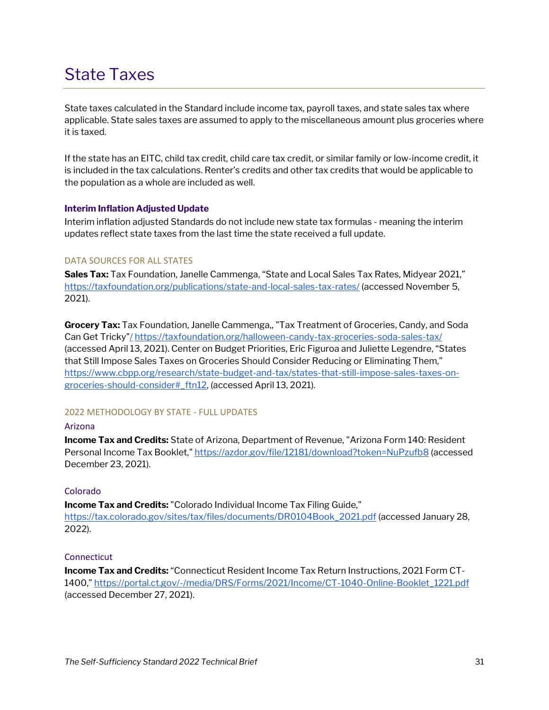### State Taxes

State taxes calculated in the Standard include income tax, payroll taxes, and state sales tax where applicable. State sales taxes are assumed to apply to the miscellaneous amount plus groceries where it is taxed.

If the state has an EITC, child tax credit, child care tax credit, or similar family or low-income credit, it is included in the tax calculations. Renter's credits and other tax credits that would be applicable to the population as a whole are included as well.

#### **Interim Inflation Adjusted Update**

Interim inflation adjusted Standards do not include new state tax formulas - meaning the interim updates reflect state taxes from the last time the state received a full update.

#### DATA SOURCES FOR ALL STATES

**Sales Tax:** Tax Foundation, Janelle Cammenga, "State and Local Sales Tax Rates, Midyear 2021," <https://taxfoundation.org/publications/state-and-local-sales-tax-rates/> (accessed November 5, 2021).

**Grocery Tax:** Tax Foundation, Janelle Cammenga,, "Tax Treatment of Groceries, Candy, and Soda Can Get Tricky["/](https://taxfoundation.org/sales-taxes-on-soda-candy-and-other-groceries-2018/)https://taxfoundation.org/halloween-candy-tax-groceries-soda-sales-tax/ (accessed April 13, 2021). Center on Budget Priorities, Eric Figuroa and Juliette Legendre, "States that Still Impose Sales Taxes on Groceries Should Consider Reducing or Eliminating Them," [https://www.cbpp.org/research/state-budget-and-tax/states-that-still-impose-sales-taxes-on](https://www.cbpp.org/research/state-budget-and-tax/states-that-still-impose-sales-taxes-on-groceries-should-consider#_ftn12)[groceries-should-consider#\\_ftn12,](https://www.cbpp.org/research/state-budget-and-tax/states-that-still-impose-sales-taxes-on-groceries-should-consider#_ftn12) (accessed April 13, 2021).

#### <span id="page-30-0"></span>2022 METHODOLOGY BY STATE - FULL UPDATES

#### Arizona

**Income Tax and Credits:** State of Arizona, Department of Revenue, "Arizona Form 140: Resident Personal Income Tax Booklet,[" https://azdor.gov/file/12181/download?token=NuPzufb8](https://azdor.gov/file/12181/download?token=NuPzufb8) (accessed December 23, 2021).

#### Colorado

**Income Tax and Credits:** "Colorado Individual Income Tax Filing Guide," [https://tax.colorado.gov/sites/tax/files/documents/DR0104Book\\_2021.pdf](https://tax.colorado.gov/sites/tax/files/documents/DR0104Book_2021.pdf) (accessed January 28, 2022).

#### Connecticut

**Income Tax and Credits:** "Connecticut Resident Income Tax Return Instructions, 2021 Form CT-1400," [https://portal.ct.gov/-/media/DRS/Forms/2021/Income/CT-1040-Online-Booklet\\_1221.pdf](https://portal.ct.gov/-/media/DRS/Forms/2021/Income/CT-1040-Online-Booklet_1221.pdf.)  (accessed December 27, 2021).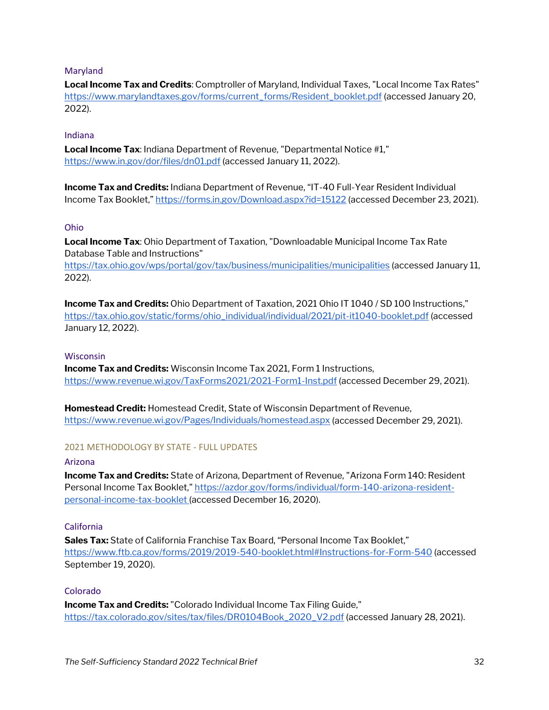#### Maryland

**Local Income Tax and Credits**: Comptroller of Maryland, Individual Taxes, "Local Income Tax Rates" [https://www.marylandtaxes.gov/forms/current\\_forms/Resident\\_booklet.pdf](https://www.marylandtaxes.gov/forms/current_forms/Resident_booklet.pdf) (accessed January 20, 2022).

#### Indiana

**Local Income Tax**: Indiana Department of Revenue, "Departmental Notice #1," <https://www.in.gov/dor/files/dn01.pdf> (accessed January 11, 2022).

**Income Tax and Credits:** Indiana Department of Revenue, "IT-40 Full-Year Resident Individual Income Tax Booklet,[" https://forms.in.gov/Download.aspx?id=15122](https://forms.in.gov/Download.aspx?id=15122) (accessed December 23, 2021).

#### Ohio

**Local Income Tax**: Ohio Department of Taxation, "Downloadable Municipal Income Tax Rate Database Table and Instructions"

<https://tax.ohio.gov/wps/portal/gov/tax/business/municipalities/municipalities> (accessed January 11, 2022).

**Income Tax and Credits:** Ohio Department of Taxation, 2021 Ohio IT 1040 / SD 100 Instructions," [https://tax.ohio.gov/static/forms/ohio\\_individual/individual/2021/pit-it1040-booklet.pdf](https://tax.ohio.gov/static/forms/ohio_individual/individual/2021/pit-it1040-booklet.pdf) (accessed January 12, 2022).

#### **Wisconsin**

**Income Tax and Credits:** Wisconsin Income Tax 2021, Form 1 Instructions, <https://www.revenue.wi.gov/TaxForms2021/2021-Form1-Inst.pdf> (accessed December 29, 2021).

**Homestead Credit:** Homestead Credit, State of Wisconsin Department of Revenue, <https://www.revenue.wi.gov/Pages/Individuals/homestead.aspx> (accessed December 29, 2021).

#### <span id="page-31-0"></span>2021 METHODOLOGY BY STATE - FULL UPDATES

#### Arizona

**Income Tax and Credits:** State of Arizona, Department of Revenue, "Arizona Form 140: Resident Personal Income Tax Booklet,[" https://azdor.gov/forms/individual/form-140-arizona-resident](https://azdor.gov/forms/individual/form-140-arizona-resident-personal-income-tax-booklet)[personal-income-tax-booklet \(](https://azdor.gov/forms/individual/form-140-arizona-resident-personal-income-tax-booklet)accessed December 16, 2020).

#### California

**Sales Tax:** State of California Franchise Tax Board, "Personal Income Tax Booklet," <https://www.ftb.ca.gov/forms/2019/2019-540-booklet.html#Instructions-for-Form-540> (accessed September 19, 2020).

#### Colorado

**Income Tax and Credits:** "Colorado Individual Income Tax Filing Guide," [https://tax.colorado.gov/sites/tax/files/DR0104Book\\_2020\\_V2.pdf](https://tax.colorado.gov/sites/tax/files/DR0104Book_2020_V2.pdf) (accessed January 28, 2021).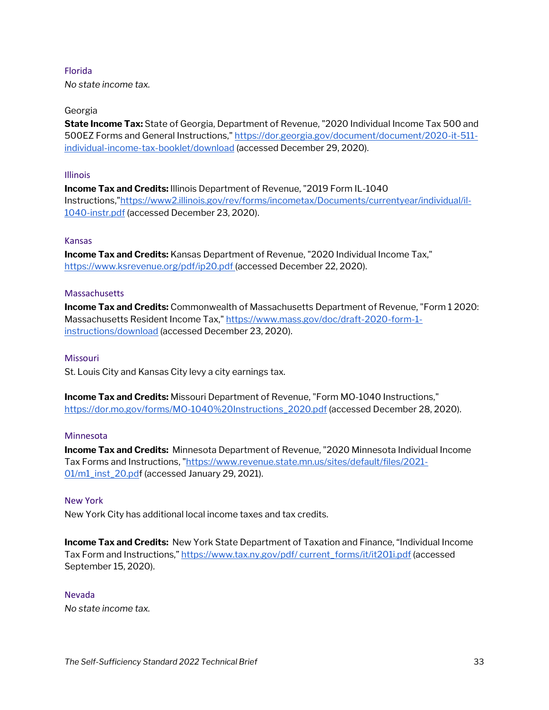#### Florida

*No state income tax.* 

#### Georgia

**State Income Tax:** State of Georgia, Department of Revenue, "2020 Individual Income Tax 500 and 500EZ Forms and General Instructions,[" https://dor.georgia.gov/document/document/2020-it-511](https://dor.georgia.gov/document/document/2020-it-511-individual-income-tax-booklet/download) [individual-income-tax-booklet/download](https://dor.georgia.gov/document/document/2020-it-511-individual-income-tax-booklet/download) (accessed December 29, 2020).

#### Illinois

**Income Tax and Credits:** Illinois Department of Revenue, "2019 Form IL-1040 Instructions,["https://www2.illinois.gov/rev/forms/incometax/Documents/currentyear/individual/il-](https://www2.illinois.gov/rev/forms/incometax/Documents/currentyear/individual/il-1040-instr.pdf%5C)[1040-instr.pdf](https://www2.illinois.gov/rev/forms/incometax/Documents/currentyear/individual/il-1040-instr.pdf%5C) (accessed December 23, 2020).

#### Kansas

**Income Tax and Credits:** Kansas Department of Revenue, "2020 Individual Income Tax," [https://www.ksrevenue.org/pdf/ip20.pdf \(](https://www.ksrevenue.org/pdf/ip20.pdf)accessed December 22, 2020).

#### **Massachusetts**

**Income Tax and Credits:** Commonwealth of Massachusetts Department of Revenue, "Form 1 2020: Massachusetts Resident Income Tax," [https://www.mass.gov/doc/draft-2020-form-1](https://www.mass.gov/doc/draft-2020-form-1-instructions/download) [instructions/download](https://www.mass.gov/doc/draft-2020-form-1-instructions/download) (accessed December 23, 2020).

#### **Missouri**

St. Louis City and Kansas City levy a city earnings tax.

**Income Tax and Credits:** Missouri Department of Revenue, "Form MO-1040 Instructions," [https://dor.mo.gov/forms/MO-1040%20Instructions\\_2020.pdf](https://dor.mo.gov/forms/MO-1040%20Instructions_2020.pdf) (accessed December 28, 2020).

#### **Minnesota**

**Income Tax and Credits:** Minnesota Department of Revenue, "2020 Minnesota Individual Income Tax Forms and Instructions, ["https://www.revenue.state.mn.us/sites/default/files/2021-](https://www.revenue.state.mn.us/sites/default/files/2021-01/m1_inst_20.pd) [01/m1\\_inst\\_20.pdf](https://www.revenue.state.mn.us/sites/default/files/2021-01/m1_inst_20.pd) (accessed January 29, 2021).

#### New York

New York City has additional local income taxes and tax credits.

**Income Tax and Credits:** New York State Department of Taxation and Finance, "Individual Income Tax Form and Instructions,[" https://www.tax.ny.gov/pdf/ current\\_forms/it/it201i.pdf](https://www.tax.ny.gov/pdf/) (accessed September 15, 2020).

#### Nevada

*No state income tax.*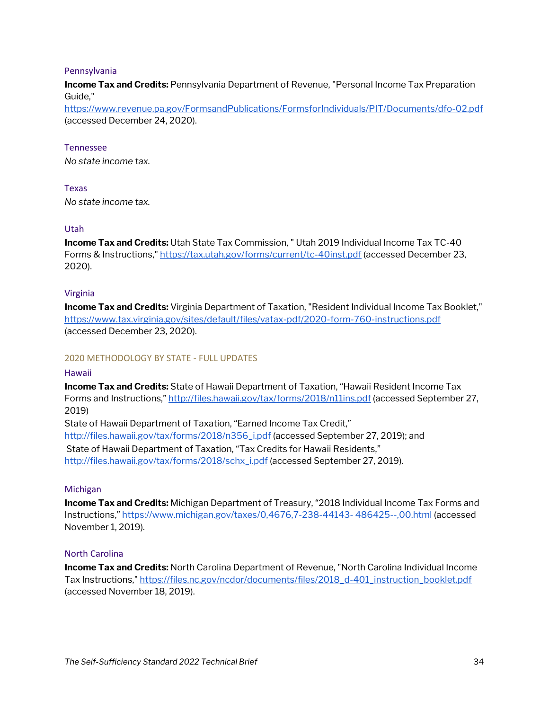#### Pennsylvania

**Income Tax and Credits:** Pennsylvania Department of Revenue, "Personal Income Tax Preparation Guide,"

<https://www.revenue.pa.gov/FormsandPublications/FormsforIndividuals/PIT/Documents/dfo-02.pdf> (accessed December 24, 2020).

#### Tennessee

*No state income tax.* 

#### Texas

*No state income tax.* 

#### Utah

**Income Tax and Credits:** Utah State Tax Commission, " Utah 2019 Individual Income Tax TC-40 Forms & Instructions,[" https://tax.utah.gov/forms/current/tc-40inst.pdf](https://tax.utah.gov/forms/current/tc-40inst.pdf) (accessed December 23, 2020).

#### Virginia

**Income Tax and Credits:** Virginia Department of Taxation, "Resident Individual Income Tax Booklet," <https://www.tax.virginia.gov/sites/default/files/vatax-pdf/2020-form-760-instructions.pdf> (accessed December 23, 2020).

#### <span id="page-33-0"></span>2020 METHODOLOGY BY STATE - FULL UPDATES

#### Hawaii

**Income Tax and Credits:** State of Hawaii Department of Taxation, "Hawaii Resident Income Tax Forms and Instructions,"<http://files.hawaii.gov/tax/forms/2018/n11ins.pdf> (accessed September 27, 2019)

State of Hawaii Department of Taxation, "Earned Income Tax Credit," [http://files.hawaii.gov/tax/forms/2018/n356\\_i.pdf](http://files.hawaii.gov/tax/forms/2018/n356_i.pdf) (accessed September 27, 2019); and State of Hawaii Department of Taxation, "Tax Credits for Hawaii Residents," [http://files.hawaii.gov/tax/forms/2018/schx\\_i.pdf](http://files.hawaii.gov/tax/forms/2018/schx_i.pdf) (accessed September 27, 2019).

#### Michigan

**Income Tax and Credits:** Michigan Department of Treasury, "2018 Individual Income Tax Forms and Instructions," <https://www.michigan.gov/taxes/0,4676,7-238-44143-> 486425--,00.html (accessed November 1, 2019).

#### North Carolina

**Income Tax and Credits:** North Carolina Department of Revenue, "North Carolina Individual Income Tax Instructions," [https://files.nc.gov/ncdor/documents/files/2018\\_d-401\\_instruction\\_booklet.pdf](https://files.nc.gov/ncdor/documents/files/2018_d-401_instruction_booklet.pdf)  (accessed November 18, 2019).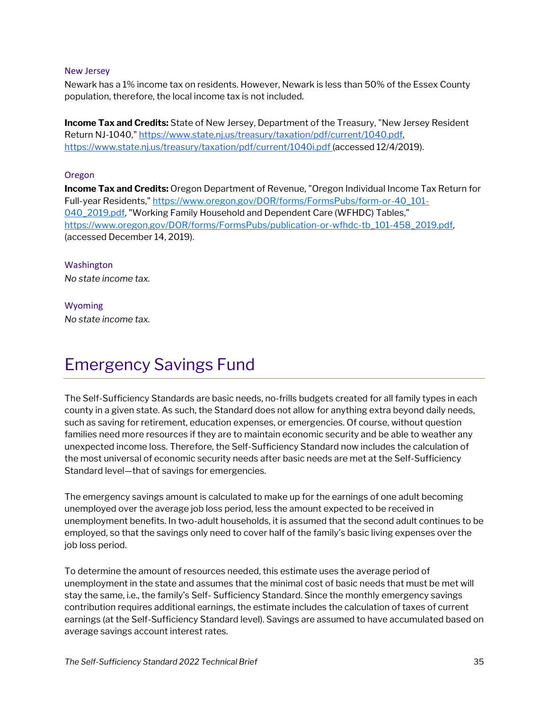#### New Jersey

Newark has a 1% income tax on residents. However, Newark is less than 50% of the Essex County population, therefore, the local income tax is not included.

**Income Tax and Credits:** State of New Jersey, Department of the Treasury, "New Jersey Resident Return NJ-1040," [https://www.state.nj.us/treasury/taxation/pdf/current/1040.pdf,](https://www.state.nj.us/treasury/taxation/pdf/current/1040.pdf)  [https://www.state.nj.us/treasury/taxation/pdf/current/1040i.pdf \(](https://www.state.nj.us/treasury/taxation/pdf/current/1040i.pdf)accessed 12/4/2019).

#### Oregon

**Income Tax and Credits:** Oregon Department of Revenue, "Oregon Individual Income Tax Return for Full-year Residents,[" https://www.oregon.gov/DOR/forms/FormsPubs/form-or-40\\_101-](https://www.oregon.gov/DOR/forms/FormsPubs/form-or-40_101-040_2019.pdf) [040\\_2019.pdf,](https://www.oregon.gov/DOR/forms/FormsPubs/form-or-40_101-040_2019.pdf) "Working Family Household and Dependent Care (WFHDC) Tables," [https://www.oregon.gov/DOR/forms/FormsPubs/publication-or-wfhdc-tb\\_101-458\\_2019.pdf,](https://www.oregon.gov/DOR/forms/FormsPubs/publication-or-wfhdc-tb_101-458_2019.pdf)  (accessed December 14, 2019).

Washington *No state income tax.* 

Wyoming *No state income tax.* 

### <span id="page-34-0"></span>Emergency Savings Fund

The Self-Sufficiency Standards are basic needs, no-frills budgets created for all family types in each county in a given state. As such, the Standard does not allow for anything extra beyond daily needs, such as saving for retirement, education expenses, or emergencies. Of course, without question families need more resources if they are to maintain economic security and be able to weather any unexpected income loss. Therefore, the Self-Sufficiency Standard now includes the calculation of the most universal of economic security needs after basic needs are met at the Self-Sufficiency Standard level—that of savings for emergencies.

The emergency savings amount is calculated to make up for the earnings of one adult becoming unemployed over the average job loss period, less the amount expected to be received in unemployment benefits. In two-adult households, it is assumed that the second adult continues to be employed, so that the savings only need to cover half of the family's basic living expenses over the job loss period.

To determine the amount of resources needed, this estimate uses the average period of unemployment in the state and assumes that the minimal cost of basic needs that must be met will stay the same, i.e., the family's Self- Sufficiency Standard. Since the monthly emergency savings contribution requires additional earnings, the estimate includes the calculation of taxes of current earnings (at the Self-Sufficiency Standard level). Savings are assumed to have accumulated based on average savings account interest rates.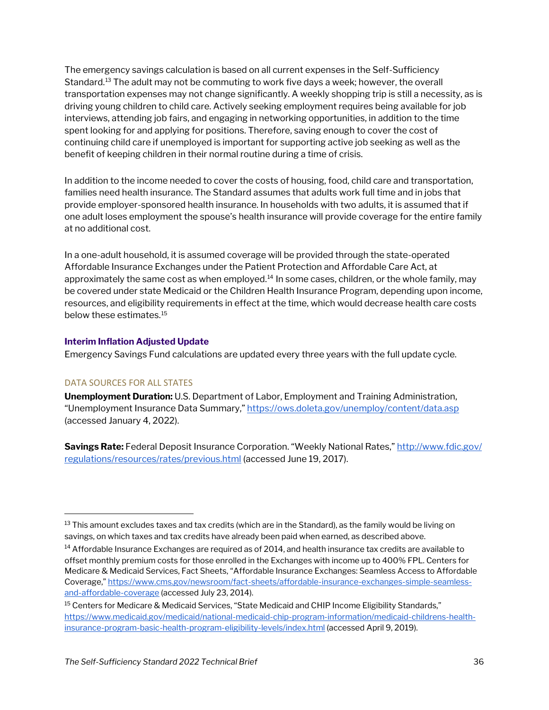The emergency savings calculation is based on all current expenses in the Self-Sufficiency Standard[.13](#page-35-0) The adult may not be commuting to work five days a week; however, the overall transportation expenses may not change significantly. A weekly shopping trip is still a necessity, as is driving young children to child care. Actively seeking employment requires being available for job interviews, attending job fairs, and engaging in networking opportunities, in addition to the time spent looking for and applying for positions. Therefore, saving enough to cover the cost of continuing child care if unemployed is important for supporting active job seeking as well as the benefit of keeping children in their normal routine during a time of crisis.

In addition to the income needed to cover the costs of housing, food, child care and transportation, families need health insurance. The Standard assumes that adults work full time and in jobs that provide employer-sponsored health insurance. In households with two adults, it is assumed that if one adult loses employment the spouse's health insurance will provide coverage for the entire family at no additional cost.

In a one-adult household, it is assumed coverage will be provided through the state-operated Affordable Insurance Exchanges under the Patient Protection and Affordable Care Act, at approximately the same cost as when employed.<sup>14</sup> In some cases, children, or the whole family, may be covered under state Medicaid or the Children Health Insurance Program, depending upon income, resources, and eligibility requirements in effect at the time, which would decrease health care costs below these estimates.[15](#page-35-2)

#### **Interim Inflation Adjusted Update**

Emergency Savings Fund calculations are updated every three years with the full update cycle.

#### DATA SOURCES FOR ALL STATES

**Unemployment Duration:** U.S. Department of Labor, Employment and Training Administration, "Unemployment Insurance Data Summary,[" https://ows.doleta.gov/unemploy/content/data.asp](https://ows.doleta.gov/unemploy/content/data.asp) (accessed January 4, 2022).

**Savings Rate:** Federal Deposit Insurance Corporation. "Weekly National Rates,"<http://www.fdic.gov/> [regulations/resources/rates/previous.html](http://www.fdic.gov/) (accessed June 19, 2017).

<span id="page-35-0"></span> $13$  This amount excludes taxes and tax credits (which are in the Standard), as the family would be living on savings, on which taxes and tax credits have already been paid when earned, as described above.

<span id="page-35-1"></span><sup>&</sup>lt;sup>14</sup> Affordable Insurance Exchanges are required as of 2014, and health insurance tax credits are available to offset monthly premium costs for those enrolled in the Exchanges with income up to 400% FPL. Centers for Medicare & Medicaid Services, Fact Sheets, "Affordable Insurance Exchanges: Seamless Access to Affordable Coverage,[" https://www.cms.gov/newsroom/fact-sheets/affordable-insurance-exchanges-simple-seamless](https://www.cms.gov/newsroom/fact-sheets/affordable-insurance-exchanges-simple-seamless-and-affordable-coverage)[and-affordable-coverage](https://www.cms.gov/newsroom/fact-sheets/affordable-insurance-exchanges-simple-seamless-and-affordable-coverage) (accessed July 23, 2014).

<span id="page-35-2"></span><sup>&</sup>lt;sup>15</sup> Centers for Medicare & Medicaid Services, "State Medicaid and CHIP Income Eligibility Standards," [https://www.medicaid.gov/medicaid/national-medicaid-chip-program-information/medicaid-childrens-health](https://www.medicaid.gov/medicaid/national-medicaid-chip-program-information/medicaid-childrens-health-insurance-program-basic-health-program-eligibility-levels/index.html)[insurance-program-basic-health-program-eligibility-levels/index.html](https://www.medicaid.gov/medicaid/national-medicaid-chip-program-information/medicaid-childrens-health-insurance-program-basic-health-program-eligibility-levels/index.html) (accessed April 9, 2019).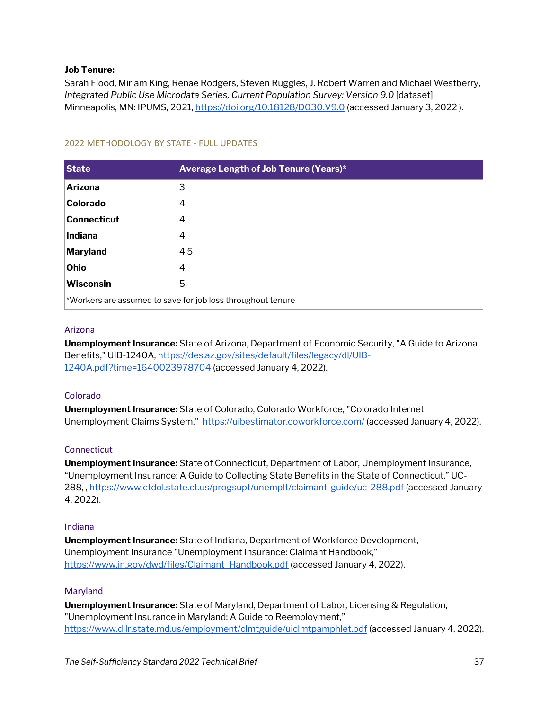#### **Job Tenure:**

Sarah Flood, Miriam King, Renae Rodgers, Steven Ruggles, J. Robert Warren and Michael Westberry, *Integrated Public Use Microdata Series, Current Population Survey: Version 9.0* [dataset] Minneapolis, MN: IPUMS, 2021,<https://doi.org/10.18128/D030.V9.0> (accessed January 3, 2022).

| <b>State</b>                                                | Average Length of Job Tenure (Years)* |  |
|-------------------------------------------------------------|---------------------------------------|--|
| <b>Arizona</b>                                              | 3                                     |  |
| <b>Colorado</b>                                             | 4                                     |  |
| Connecticut                                                 | 4                                     |  |
| Indiana                                                     | 4                                     |  |
| Maryland                                                    | 4.5                                   |  |
| Ohio                                                        | 4                                     |  |
| <b>Wisconsin</b>                                            | 5                                     |  |
| *Workers are assumed to save for job loss throughout tenure |                                       |  |

#### <span id="page-36-0"></span>2022 METHODOLOGY BY STATE - FULL UPDATES

#### Arizona

**Unemployment Insurance:** State of Arizona, Department of Economic Security, "A Guide to Arizona Benefits," UIB-1240A[, https://des.az.gov/sites/default/files/legacy/dl/UIB-](https://des.az.gov/sites/default/files/legacy/dl/UIB-1240A.pdf?time=1640023978704)[1240A.pdf?time=1640023978704](https://des.az.gov/sites/default/files/legacy/dl/UIB-1240A.pdf?time=1640023978704) (accessed January 4, 2022).

#### Colorado

**Unemployment Insurance:** State of Colorado, Colorado Workforce, "Colorado Internet Unemployment Claims System,"<https://uibestimator.coworkforce.com/> (accessed January 4, 2022).

#### **Connecticut**

**Unemployment Insurance:** State of Connecticut, Department of Labor, Unemployment Insurance, "Unemployment Insurance: A Guide to Collecting State Benefits in the State of Connecticut," UC-288, ,<https://www.ctdol.state.ct.us/progsupt/unemplt/claimant-guide/uc-288.pdf> (accessed January 4, 2022).

#### Indiana

**Unemployment Insurance:** State of Indiana, Department of Workforce Development, Unemployment Insurance "Unemployment Insurance: Claimant Handbook," [https://www.in.gov/dwd/files/Claimant\\_Handbook.pdf](https://www.in.gov/dwd/files/Claimant_Handbook.pdf) (accessed January 4, 2022).

#### Maryland

**Unemployment Insurance:** State of Maryland, Department of Labor, Licensing & Regulation, "Unemployment Insurance in Maryland: A Guide to Reemployment," <https://www.dllr.state.md.us/employment/clmtguide/uiclmtpamphlet.pdf> (accessed January 4, 2022).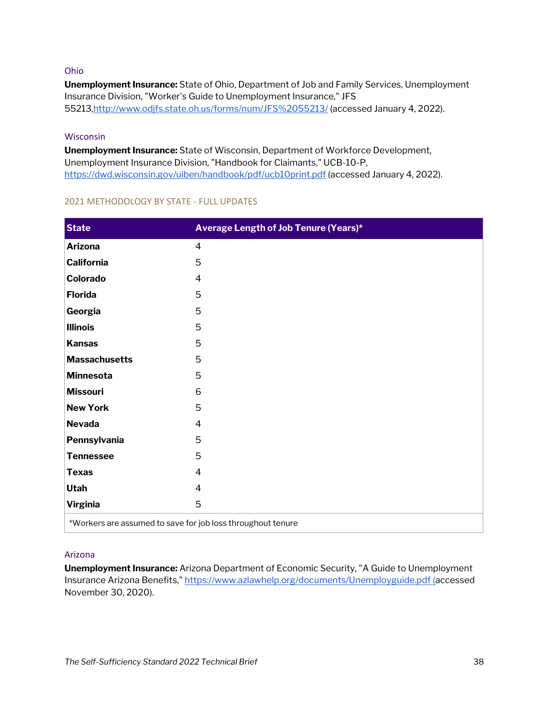#### Ohio

**Unemployment Insurance:** State of Ohio, Department of Job and Family Services, Unemployment Insurance Division, "Worker's Guide to Unemployment Insurance," JFS 5521[3,http://www.odjfs.state.oh.us/forms/num/JFS%2055213/](http://www.odjfs.state.oh.us/forms/num/JFS%2055213/) (accessed January 4, 2022).

#### Wisconsin

**Unemployment Insurance:** State of Wisconsin, Department of Workforce Development, Unemployment Insurance Division, "Handbook for Claimants," UCB-10-P, <https://dwd.wisconsin.gov/uiben/handbook/pdf/ucb10print.pdf> (accessed January 4, 2022).

| <b>State</b>                                                | Average Length of Job Tenure (Years)* |  |  |
|-------------------------------------------------------------|---------------------------------------|--|--|
| <b>Arizona</b>                                              | $\overline{4}$                        |  |  |
| <b>California</b>                                           | 5                                     |  |  |
| Colorado                                                    | 4                                     |  |  |
| <b>Florida</b>                                              | 5                                     |  |  |
| Georgia                                                     | 5                                     |  |  |
| <b>Illinois</b>                                             | 5                                     |  |  |
| <b>Kansas</b>                                               | 5                                     |  |  |
| <b>Massachusetts</b>                                        | 5                                     |  |  |
| Minnesota                                                   | 5                                     |  |  |
| <b>Missouri</b>                                             | 6                                     |  |  |
| <b>New York</b>                                             | 5                                     |  |  |
| <b>Nevada</b>                                               | 4                                     |  |  |
| Pennsylvania                                                | 5                                     |  |  |
| <b>Tennessee</b>                                            | 5                                     |  |  |
| <b>Texas</b>                                                | $\overline{4}$                        |  |  |
| Utah                                                        | $\overline{4}$                        |  |  |
| <b>Virginia</b>                                             | 5                                     |  |  |
| *Workers are assumed to save for job loss throughout tenure |                                       |  |  |

#### <span id="page-37-0"></span>2021 METHODOLOGY BY STATE - FULL UPDATES

#### Arizona

**Unemployment Insurance:** Arizona Department of Economic Security, "A Guide to Unemployment Insurance Arizona Benefits," [https://www.azlawhelp.org/documents/Unemployguide.pdf \(a](https://www.azlawhelp.org/documents/Unemployguide.pdf)ccessed November 30, 2020).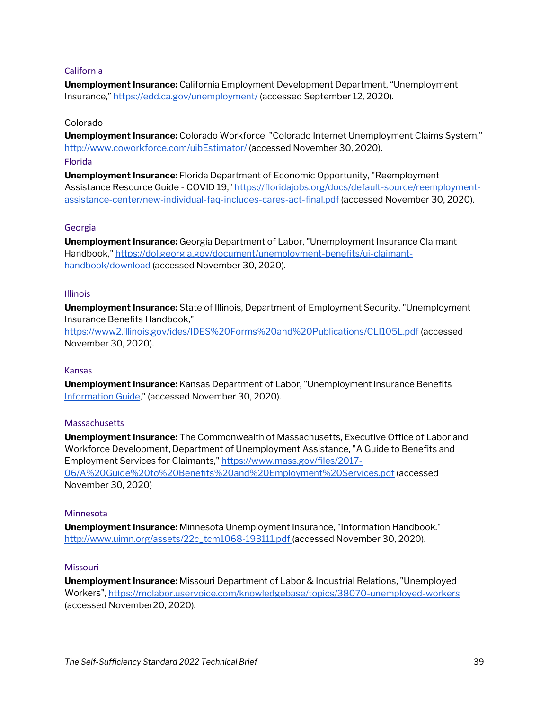#### California

**Unemployment Insurance:** California Employment Development Department, "Unemployment Insurance,[" https://edd.ca.gov/unemployment/](https://edd.ca.gov/unemployment/) (accessed September 12, 2020).

#### Colorado

**Unemployment Insurance:** Colorado Workforce, "Colorado Internet Unemployment Claims System," <http://www.coworkforce.com/uibEstimator/> (accessed November 30, 2020). Florida

**Unemployment Insurance:** Florida Department of Economic Opportunity, "Reemployment Assistance Resource Guide - COVID 19,[" https://floridajobs.org/docs/default-source/reemployment](https://floridajobs.org/docs/default-source/reemployment-assistance-center/new-individual-faq-includes-cares-act-final.pdf)[assistance-center/new-individual-faq-includes-cares-act-final.pdf](https://floridajobs.org/docs/default-source/reemployment-assistance-center/new-individual-faq-includes-cares-act-final.pdf) (accessed November 30, 2020).

#### Georgia

**Unemployment Insurance:** Georgia Department of Labor, "Unemployment Insurance Claimant Handbook,[" https://dol.georgia.gov/document/unemployment-benefits/ui-claimant](https://dol.georgia.gov/document/unemployment-benefits/ui-claimant-handbook/download)[handbook/download](https://dol.georgia.gov/document/unemployment-benefits/ui-claimant-handbook/download) (accessed November 30, 2020).

#### Illinois

**Unemployment Insurance:** State of Illinois, Department of Employment Security, "Unemployment Insurance Benefits Handbook,"

<https://www2.illinois.gov/ides/IDES%20Forms%20and%20Publications/CLI105L.pdf> (accessed November 30, 2020).

#### Kansas

**Unemployment Insurance:** Kansas Department of Labor, "Unemployment insurance Benefits [Information Guide,"](https://www.getkansasbenefits.gov/Files/PDF/kbenp0950.pdf?__cf_chl_captcha_tk__=b80df8db61b41b23966b6b1bca529d84ec017a76-1606781605-0-AToUznfB6YFZQy2JcZEMS_cYwhO-u4Ce9sOL8lS1AECggZRPeVNiTFFfr6uxZgB4FqCX4duD7Iu8cwjctNRhDg_c4fy8swsrk54xLvNKvNH6D6RYS1H6WxWJGM-9WlV_9_e3QLR-KzlpR64drIXziuvcXee4CfGjQb3Lu-nGZaIxS5V1ax8NCu8b9LOtbUsKJQDhbRAeS26tOcst-9zOSWAEhla-NU1uyqvF_36HNJz887PCHroN1wcIPW-UfVjpFKsYqP70YgUdz6PbonD1rUXGnX31MhZ6WmPi9wM2U3EYTK_sjcq7qPUaKC9XNhO9avEHRbtIvYIkygTj_tyTIXmGdBtGCEebUf6GnXjiAbdV-uqOgvtbMbiRVwL2sFymJAOFIMnLuiGI3W5cULT5nX3nh32npu99Btu3XgNFYRvRSrZZza0BcdqpzzvdssYczh8951q6hxhGVYXHAeZOmC-75ng-bny0fFn5g5G7O0rD4FpBKhJq6RQkm7_udAEjMfo7GDtjLmFkU-xBwqnA_5goFGW0VgWj5CkQFI6yV6_Gt-Ct84B7X_jEorY8TPZkXO6gpXijtpNyKX9FzqUgOykaYUY_1yqkIYAwRUicPO9c) (accessed November 30, 2020).

#### **Massachusetts**

**Unemployment Insurance:** The Commonwealth of Massachusetts, Executive Office of Labor and Workforce Development, Department of Unemployment Assistance, "A Guide to Benefits and Employment Services for Claimants," [https://www.mass.gov/files/2017-](https://www.mass.gov/files/2017-06/A%20Guide%20to%20Benefits%20and%20Employment%20Services.pdf) [06/A%20Guide%20to%20Benefits%20and%20Employment%20Services.pdf](https://www.mass.gov/files/2017-06/A%20Guide%20to%20Benefits%20and%20Employment%20Services.pdf) (accessed November 30, 2020)

#### Minnesota

**Unemployment Insurance:** Minnesota Unemployment Insurance, "Information Handbook." [http://www.uimn.org/assets/22c\\_tcm1068-193111.pdf \(](http://www.uimn.org/assets/22c_tcm1068-193111.pdf)accessed November 30, 2020).

#### Missouri

**Unemployment Insurance:** Missouri Department of Labor & Industrial Relations, "Unemployed Workers",<https://molabor.uservoice.com/knowledgebase/topics/38070-unemployed-workers> (accessed November20, 2020).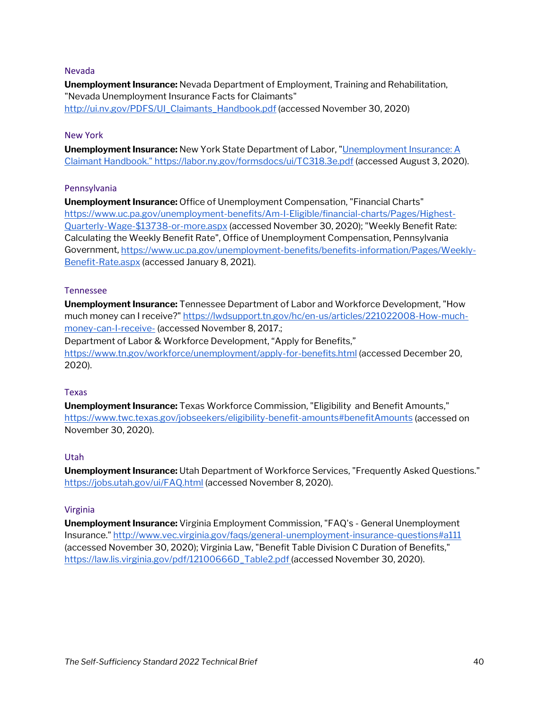#### Nevada

**Unemployment Insurance:** Nevada Department of Employment, Training and Rehabilitation, "Nevada Unemployment Insurance Facts for Claimants" [http://ui.nv.gov/PDFS/UI\\_Claimants\\_Handbook.pdf](http://ui.nv.gov/PDFS/UI_Claimants_Handbook.pdf) (accessed November 30, 2020)

#### New York

**Unemployment Insurance:** New York State Department of Labor, ["Unemployment Insurance: A](https://labor.ny.gov/formsdocs/ui/TC318.3e.pdf)  [Claimant Handbook." https://labor.ny.gov/formsdocs/ui/TC318.3e.pdf](https://labor.ny.gov/formsdocs/ui/TC318.3e.pdf) (accessed August 3, 2020).

#### Pennsylvania

**Unemployment Insurance:** Office of Unemployment Compensation, "Financial Charts" [https://www.uc.pa.gov/unemployment-benefits/Am-I-Eligible/financial-charts/Pages/Highest-](https://www.uc.pa.gov/unemployment-benefits/Am-I-Eligible/financial-charts/Pages/Highest-Quarterly-Wage-$13738-or-more.aspx)[Quarterly-Wage-\\$13738-or-more.aspx](https://www.uc.pa.gov/unemployment-benefits/Am-I-Eligible/financial-charts/Pages/Highest-Quarterly-Wage-$13738-or-more.aspx) (accessed November 30, 2020); "Weekly Benefit Rate: Calculating the Weekly Benefit Rate", Office of Unemployment Compensation, Pennsylvania Government, [https://www.uc.pa.gov/unemployment-benefits/benefits-information/Pages/Weekly-](https://www.uc.pa.gov/unemployment-benefits/benefits-information/Pages/Weekly-Benefit-Rate.aspx)[Benefit-Rate.aspx](https://www.uc.pa.gov/unemployment-benefits/benefits-information/Pages/Weekly-Benefit-Rate.aspx) (accessed January 8, 2021).

#### Tennessee

**Unemployment Insurance:** Tennessee Department of Labor and Workforce Development, "How much money can I receive?[" https://lwdsupport.tn.gov/hc/en-us/articles/221022008-How-much](https://lwdsupport.tn.gov/hc/en-us/articles/221022008-How-much-money-can-I-receive-)[money-can-I-receive-](https://lwdsupport.tn.gov/hc/en-us/articles/221022008-How-much-money-can-I-receive-) (accessed November 8, 2017.; Department of Labor & Workforce Development, "Apply for Benefits," <https://www.tn.gov/workforce/unemployment/apply-for-benefits.html> (accessed December 20, 2020).

#### Texas

**Unemployment Insurance:** Texas Workforce Commission, "Eligibility and Benefit Amounts," <https://www.twc.texas.gov/jobseekers/eligibility-benefit-amounts#benefitAmounts> (accessed on November 30, 2020).

#### Utah

**Unemployment Insurance:** Utah Department of Workforce Services, "Frequently Asked Questions." <https://jobs.utah.gov/ui/FAQ.html> (accessed November 8, 2020).

#### Virginia

<span id="page-39-0"></span>**Unemployment Insurance:** Virginia Employment Commission, "FAQ's - General Unemployment Insurance.[" http://www.vec.virginia.gov/faqs/general-unemployment-insurance-questions#a111](http://www.vec.virginia.gov/faqs/general-unemployment-insurance-questions#a111) (accessed November 30, 2020); Virginia Law, "Benefit Table Division C Duration of Benefits," [https://law.lis.virginia.gov/pdf/12100666D\\_Table2.pdf \(](https://law.lis.virginia.gov/pdf/12100666D_Table2.pdf)accessed November 30, 2020).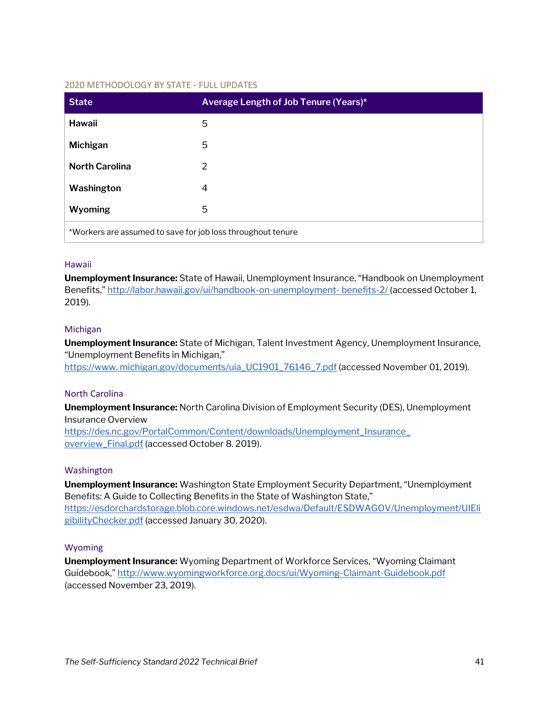#### 2020 METHODOLOGY BY STATE - FULL UPDATES

| <b>State</b>                                                | Average Length of Job Tenure (Years)* |  |
|-------------------------------------------------------------|---------------------------------------|--|
| Hawaii                                                      | 5                                     |  |
| <b>Michigan</b>                                             | 5                                     |  |
| <b>North Carolina</b>                                       | 2                                     |  |
| Washington                                                  | 4                                     |  |
| Wyoming                                                     | 5                                     |  |
| *Workers are assumed to save for job loss throughout tenure |                                       |  |

#### Hawaii

**Unemployment Insurance:** State of Hawaii, Unemployment Insurance, "Handbook on Unemployment Benefits,"<http://labor.hawaii.gov/ui/handbook-on-unemployment-> benefits-2/ (accessed October 1, 2019).

#### Michigan

**Unemployment Insurance:** State of Michigan, Talent Investment Agency, Unemployment Insurance, "Unemployment Benefits in Michigan," [https://www. michigan.gov/documents/uia\\_UC1901\\_76146\\_7.pdf](https://www./) (accessed November 01, 2019).

#### North Carolina

**Unemployment Insurance:** North Carolina Division of Employment Security (DES), Unemployment Insurance Overview [https://des.nc.gov/PortalCommon/Content/downloads/Unemployment\\_Insurance\\_](https://des.nc.gov/PortalCommon/) 

[overview\\_Final.pdf](https://des.nc.gov/PortalCommon/) (accessed October 8. 2019).

#### Washington

**Unemployment Insurance:** Washington State Employment Security Department, "Unemployment Benefits: A Guide to Collecting Benefits in the State of Washington State," [https://esdorchardstorage.blob.core.windows.net/esdwa/Default/ESDWAGOV/Unemployment/UIEli](https://esdorchardstorage.blob.core.windows.net/esdwa/Default/ESDWAGOV/Unemployment/UIEligibilityChecker.pdf) [gibilityChecker.pdf](https://esdorchardstorage.blob.core.windows.net/esdwa/Default/ESDWAGOV/Unemployment/UIEligibilityChecker.pdf) (accessed January 30, 2020).

#### Wyoming

**Unemployment Insurance:** Wyoming Department of Workforce Services, "Wyoming Claimant Guidebook,[" http://www.wyomingworkforce.org.docs/ui/Wyoming-Claimant-Guidebook.pdf](http://www.wyomingworkforce.org.docs/ui/Wyoming-Claimant-Guidebook.pdf) (accessed November 23, 2019).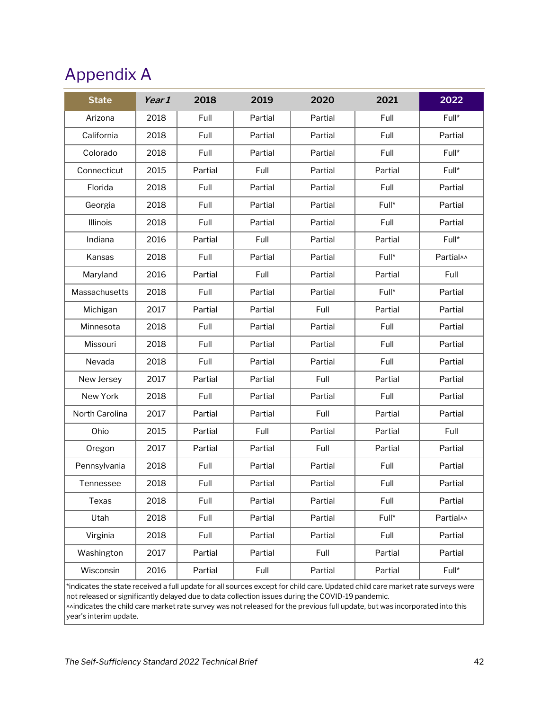### <span id="page-41-0"></span>Appendix A

|                                              | Partial |         |           |
|----------------------------------------------|---------|---------|-----------|
| Arizona<br>2018<br>Full<br>Partial           |         | Full    | Full*     |
| Full<br>California<br>2018<br>Partial        | Partial | Full    | Partial   |
| Colorado<br>2018<br>Full<br>Partial          | Partial | Full    | Full*     |
| Connecticut<br>2015<br>Partial<br>Full       | Partial | Partial | Full*     |
| Florida<br>2018<br>Full<br>Partial           | Partial | Full    | Partial   |
| Georgia<br>2018<br>Full<br>Partial           | Partial | Full*   | Partial   |
| Full<br>Illinois<br>2018<br>Partial          | Partial | Full    | Partial   |
| 2016<br>Partial<br>Full<br>Indiana           | Partial | Partial | Full*     |
| Kansas<br>2018<br>Full<br>Partial            | Partial | Full*   | Partial^^ |
| 2016<br>Partial<br>Full<br>Maryland          | Partial | Partial | Full      |
| 2018<br>Partial<br>Massachusetts<br>Full     | Partial | Full*   | Partial   |
| 2017<br>Partial<br>Partial<br>Michigan       | Full    | Partial | Partial   |
| Full<br>Partial<br>Minnesota<br>2018         | Partial | Full    | Partial   |
| Full<br>Partial<br>Missouri<br>2018          | Partial | Full    | Partial   |
| Nevada<br>Full<br>2018<br>Partial            | Partial | Full    | Partial   |
| 2017<br>Partial<br>Partial<br>New Jersey     | Full    | Partial | Partial   |
| New York<br>2018<br>Full<br>Partial          | Partial | Full    | Partial   |
| 2017<br>Partial<br>Partial<br>North Carolina | Full    | Partial | Partial   |
| Partial<br>Ohio<br>2015<br>Full              | Partial | Partial | Full      |
| 2017<br>Partial<br>Oregon<br>Partial         | Full    | Partial | Partial   |
| Pennsylvania<br>2018<br>Full<br>Partial      | Partial | Full    | Partial   |
| Full<br>Tennessee<br>2018<br>Partial         | Partial | Full    | Partial   |
| Full<br>Texas<br>2018<br>Partial             | Partial | Full    | Partial   |
| 2018<br>Utah<br>Full<br>Partial              | Partial | Full*   | Partial^^ |
| 2018<br>Full<br>Partial<br>Virginia          | Partial | Full    | Partial   |
| Washington<br>2017<br>Partial<br>Partial     | Full    | Partial | Partial   |
| Wisconsin<br>2016<br>Partial<br>Full         | Partial | Partial | Full*     |

\*indicates the state received a full update for all sources except for child care. Updated child care market rate surveys were not released or significantly delayed due to data collection issues during the COVID-19 pandemic.

Anindicates the child care market rate survey was not released for the previous full update, but was incorporated into this year's interim update.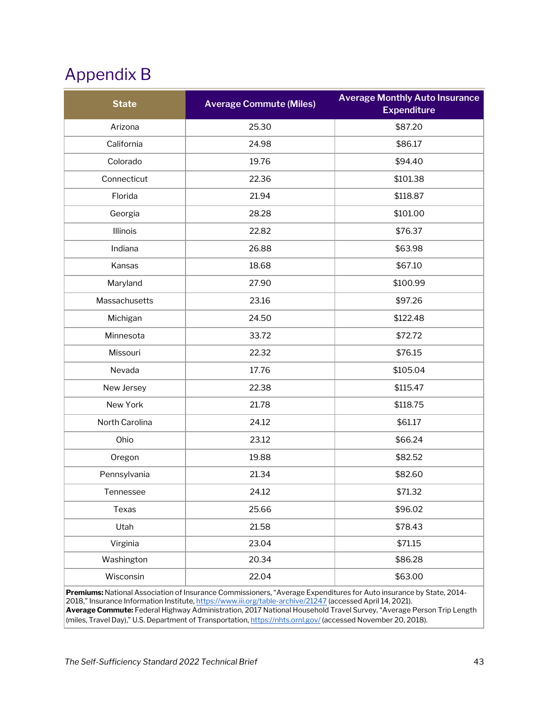## <span id="page-42-0"></span>Appendix B

| <b>State</b>   | <b>Average Commute (Miles)</b> | <b>Average Monthly Auto Insurance</b><br><b>Expenditure</b> |
|----------------|--------------------------------|-------------------------------------------------------------|
| Arizona        | 25.30                          | \$87.20                                                     |
| California     | 24.98                          | \$86.17                                                     |
| Colorado       | 19.76                          | \$94.40                                                     |
| Connecticut    | 22.36                          | \$101.38                                                    |
| Florida        | 21.94                          | \$118.87                                                    |
| Georgia        | 28.28                          | \$101.00                                                    |
| Illinois       | 22.82                          | \$76.37                                                     |
| Indiana        | 26.88                          | \$63.98                                                     |
| Kansas         | 18.68                          | \$67.10                                                     |
| Maryland       | 27.90                          | \$100.99                                                    |
| Massachusetts  | 23.16                          | \$97.26                                                     |
| Michigan       | 24.50                          | \$122.48                                                    |
| Minnesota      | 33.72                          | \$72.72                                                     |
| Missouri       | 22.32                          | \$76.15                                                     |
| Nevada         | 17.76                          | \$105.04                                                    |
| New Jersey     | 22.38                          | \$115.47                                                    |
| New York       | 21.78                          | \$118.75                                                    |
| North Carolina | 24.12                          | \$61.17                                                     |
| Ohio           | 23.12                          | \$66.24                                                     |
| Oregon         | 19.88                          | \$82.52                                                     |
| Pennsylvania   | 21.34                          | \$82.60                                                     |
| Tennessee      | 24.12                          | \$71.32                                                     |
| Texas          | 25.66                          | \$96.02                                                     |
| Utah           | 21.58                          | \$78.43                                                     |
| Virginia       | 23.04                          | \$71.15                                                     |
| Washington     | 20.34                          | \$86.28                                                     |
| Wisconsin      | 22.04                          | \$63.00                                                     |

**Premiums:** National Association of Insurance Commissioners, "Average Expenditures for Auto insurance by State, 2014- 2018," Insurance Information Institute[, https://www.iii.org/table-archive/21247](https://www.iii.org/table-archive/21247) (accessed April 14, 2021). **Average Commute:** Federal Highway Administration, 2017 National Household Travel Survey, "Average Person Trip Length (miles, Travel Day)," U.S. Department of Transportation[, https://nhts.ornl.gov/](https://nhts.ornl.gov/) (accessed November 20, 2018).